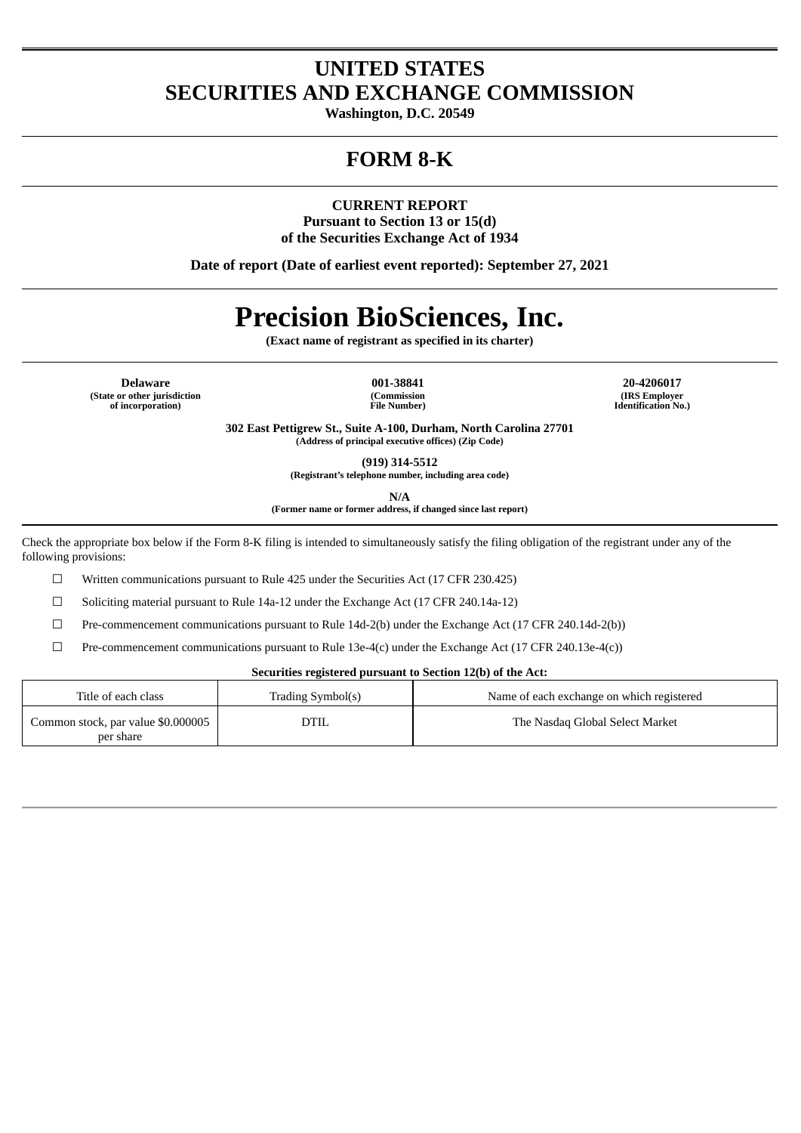# **UNITED STATES SECURITIES AND EXCHANGE COMMISSION**

**Washington, D.C. 20549**

# **FORM 8-K**

**CURRENT REPORT**

**Pursuant to Section 13 or 15(d) of the Securities Exchange Act of 1934**

**Date of report (Date of earliest event reported): September 27, 2021**

# **Precision BioSciences, Inc.**

**(Exact name of registrant as specified in its charter)**

**(State or other jurisdiction of incorporation)**

**(Commission File Number)**

**Delaware 001-38841 20-4206017 (IRS Employer Identification No.)**

> **302 East Pettigrew St., Suite A-100, Durham, North Carolina 27701 (Address of principal executive offices) (Zip Code)**

> > **(919) 314-5512**

**(Registrant's telephone number, including area code)**

**N/A**

**(Former name or former address, if changed since last report)**

Check the appropriate box below if the Form 8-K filing is intended to simultaneously satisfy the filing obligation of the registrant under any of the following provisions:

☐ Written communications pursuant to Rule 425 under the Securities Act (17 CFR 230.425)

☐ Soliciting material pursuant to Rule 14a-12 under the Exchange Act (17 CFR 240.14a-12)

☐ Pre-commencement communications pursuant to Rule 14d-2(b) under the Exchange Act (17 CFR 240.14d-2(b))

 $□$  Pre-commencement communications pursuant to Rule 13e-4(c) under the Exchange Act (17 CFR 240.13e-4(c))

#### **Securities registered pursuant to Section 12(b) of the Act:**

| Title of each class                               | Trading Symbol(s) | Name of each exchange on which registered |
|---------------------------------------------------|-------------------|-------------------------------------------|
| Common stock, par value \$0.000005  <br>per share | DTIL              | The Nasdaq Global Select Market           |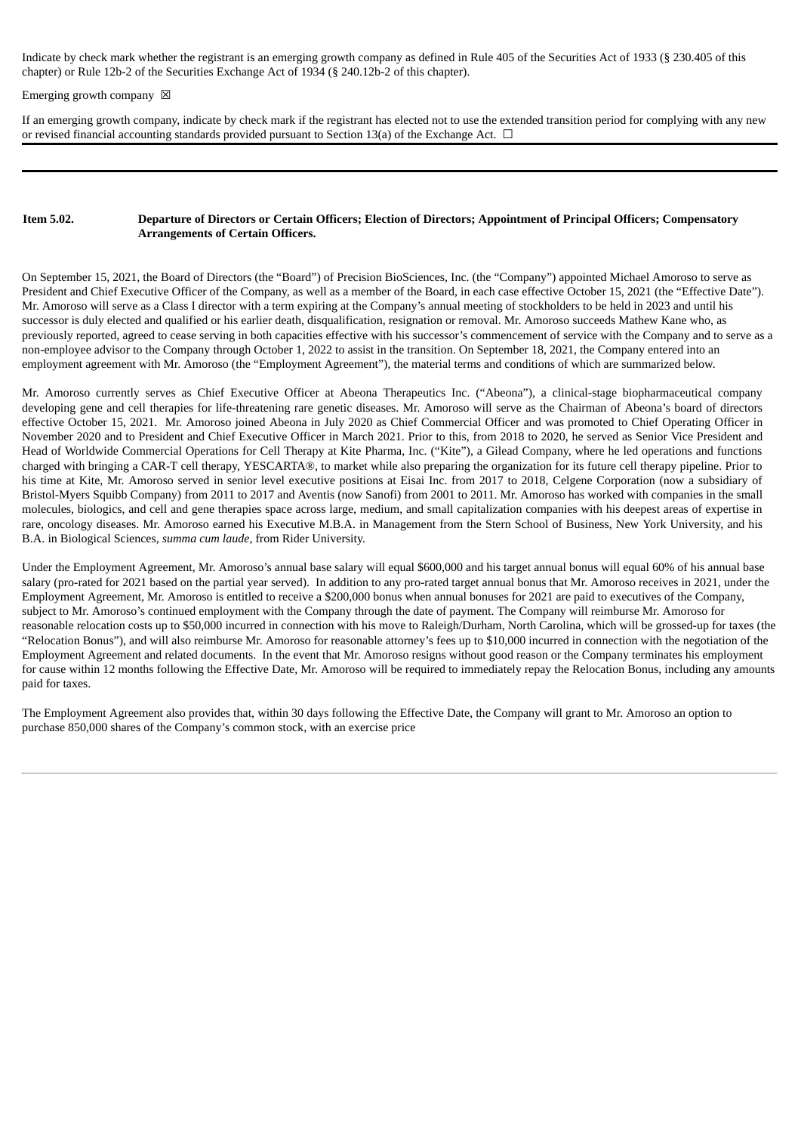Indicate by check mark whether the registrant is an emerging growth company as defined in Rule 405 of the Securities Act of 1933 (§ 230.405 of this chapter) or Rule 12b-2 of the Securities Exchange Act of 1934 (§ 240.12b-2 of this chapter).

#### Emerging growth company  $\boxtimes$

If an emerging growth company, indicate by check mark if the registrant has elected not to use the extended transition period for complying with any new or revised financial accounting standards provided pursuant to Section 13(a) of the Exchange Act.  $\Box$ 

#### Item 5.02. Departure of Directors or Certain Officers; Election of Directors; Appointment of Principal Officers; Compensatory **Arrangements of Certain Officers.**

On September 15, 2021, the Board of Directors (the "Board") of Precision BioSciences, Inc. (the "Company") appointed Michael Amoroso to serve as President and Chief Executive Officer of the Company, as well as a member of the Board, in each case effective October 15, 2021 (the "Effective Date"). Mr. Amoroso will serve as a Class I director with a term expiring at the Company's annual meeting of stockholders to be held in 2023 and until his successor is duly elected and qualified or his earlier death, disqualification, resignation or removal. Mr. Amoroso succeeds Mathew Kane who, as previously reported, agreed to cease serving in both capacities effective with his successor's commencement of service with the Company and to serve as a non-employee advisor to the Company through October 1, 2022 to assist in the transition. On September 18, 2021, the Company entered into an employment agreement with Mr. Amoroso (the "Employment Agreement"), the material terms and conditions of which are summarized below.

Mr. Amoroso currently serves as Chief Executive Officer at Abeona Therapeutics Inc. ("Abeona"), a clinical-stage biopharmaceutical company developing gene and cell therapies for life-threatening rare genetic diseases. Mr. Amoroso will serve as the Chairman of Abeona's board of directors effective October 15, 2021. Mr. Amoroso joined Abeona in July 2020 as Chief Commercial Officer and was promoted to Chief Operating Officer in November 2020 and to President and Chief Executive Officer in March 2021. Prior to this, from 2018 to 2020, he served as Senior Vice President and Head of Worldwide Commercial Operations for Cell Therapy at Kite Pharma, Inc. ("Kite"), a Gilead Company, where he led operations and functions charged with bringing a CAR-T cell therapy, YESCARTA®, to market while also preparing the organization for its future cell therapy pipeline. Prior to his time at Kite, Mr. Amoroso served in senior level executive positions at Eisai Inc. from 2017 to 2018, Celgene Corporation (now a subsidiary of Bristol-Myers Squibb Company) from 2011 to 2017 and Aventis (now Sanofi) from 2001 to 2011. Mr. Amoroso has worked with companies in the small molecules, biologics, and cell and gene therapies space across large, medium, and small capitalization companies with his deepest areas of expertise in rare, oncology diseases. Mr. Amoroso earned his Executive M.B.A. in Management from the Stern School of Business, New York University, and his B.A. in Biological Sciences, *summa cum laude*, from Rider University.

Under the Employment Agreement, Mr. Amoroso's annual base salary will equal \$600,000 and his target annual bonus will equal 60% of his annual base salary (pro-rated for 2021 based on the partial year served). In addition to any pro-rated target annual bonus that Mr. Amoroso receives in 2021, under the Employment Agreement, Mr. Amoroso is entitled to receive a \$200,000 bonus when annual bonuses for 2021 are paid to executives of the Company, subject to Mr. Amoroso's continued employment with the Company through the date of payment. The Company will reimburse Mr. Amoroso for reasonable relocation costs up to \$50,000 incurred in connection with his move to Raleigh/Durham, North Carolina, which will be grossed-up for taxes (the "Relocation Bonus"), and will also reimburse Mr. Amoroso for reasonable attorney's fees up to \$10,000 incurred in connection with the negotiation of the Employment Agreement and related documents. In the event that Mr. Amoroso resigns without good reason or the Company terminates his employment for cause within 12 months following the Effective Date, Mr. Amoroso will be required to immediately repay the Relocation Bonus, including any amounts paid for taxes.

The Employment Agreement also provides that, within 30 days following the Effective Date, the Company will grant to Mr. Amoroso an option to purchase 850,000 shares of the Company's common stock, with an exercise price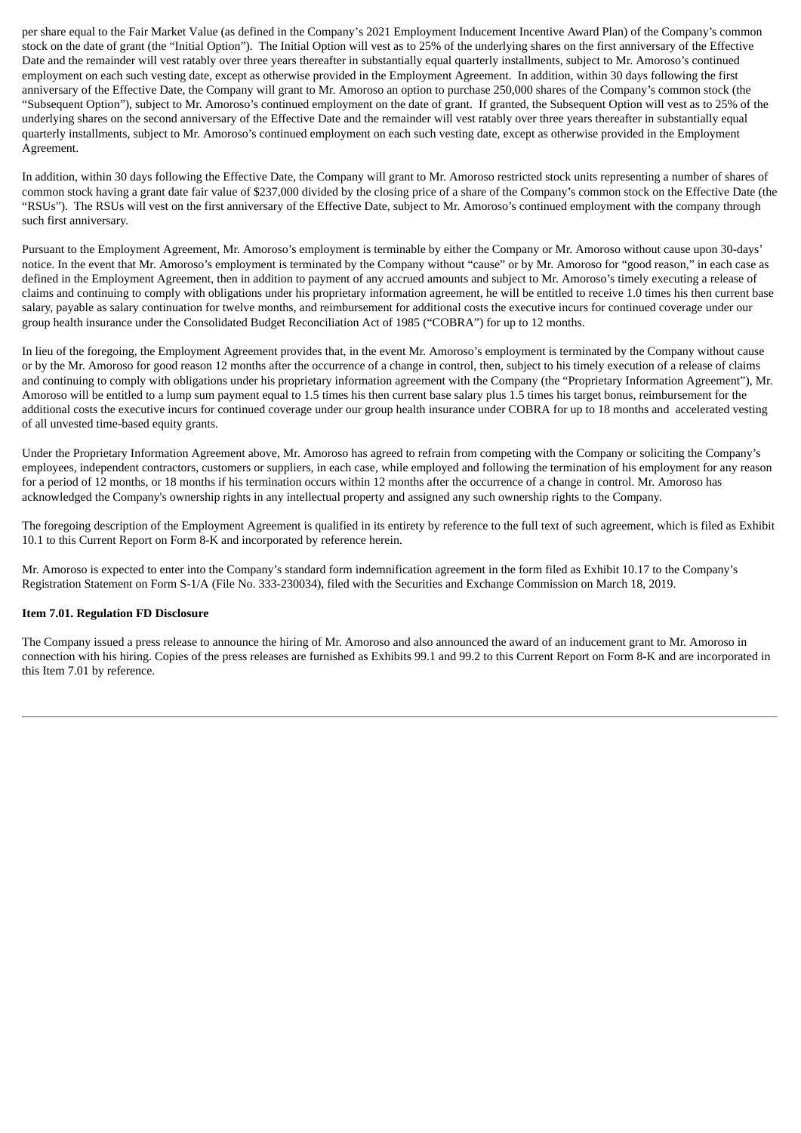per share equal to the Fair Market Value (as defined in the Company's 2021 Employment Inducement Incentive Award Plan) of the Company's common stock on the date of grant (the "Initial Option"). The Initial Option will vest as to 25% of the underlying shares on the first anniversary of the Effective Date and the remainder will vest ratably over three years thereafter in substantially equal quarterly installments, subject to Mr. Amoroso's continued employment on each such vesting date, except as otherwise provided in the Employment Agreement. In addition, within 30 days following the first anniversary of the Effective Date, the Company will grant to Mr. Amoroso an option to purchase 250,000 shares of the Company's common stock (the "Subsequent Option"), subject to Mr. Amoroso's continued employment on the date of grant. If granted, the Subsequent Option will vest as to 25% of the underlying shares on the second anniversary of the Effective Date and the remainder will vest ratably over three years thereafter in substantially equal quarterly installments, subject to Mr. Amoroso's continued employment on each such vesting date, except as otherwise provided in the Employment Agreement.

In addition, within 30 days following the Effective Date, the Company will grant to Mr. Amoroso restricted stock units representing a number of shares of common stock having a grant date fair value of \$237,000 divided by the closing price of a share of the Company's common stock on the Effective Date (the "RSUs"). The RSUs will vest on the first anniversary of the Effective Date, subject to Mr. Amoroso's continued employment with the company through such first anniversary.

Pursuant to the Employment Agreement, Mr. Amoroso's employment is terminable by either the Company or Mr. Amoroso without cause upon 30-days' notice. In the event that Mr. Amoroso's employment is terminated by the Company without "cause" or by Mr. Amoroso for "good reason," in each case as defined in the Employment Agreement, then in addition to payment of any accrued amounts and subject to Mr. Amoroso's timely executing a release of claims and continuing to comply with obligations under his proprietary information agreement, he will be entitled to receive 1.0 times his then current base salary, payable as salary continuation for twelve months, and reimbursement for additional costs the executive incurs for continued coverage under our group health insurance under the Consolidated Budget Reconciliation Act of 1985 ("COBRA") for up to 12 months.

In lieu of the foregoing, the Employment Agreement provides that, in the event Mr. Amoroso's employment is terminated by the Company without cause or by the Mr. Amoroso for good reason 12 months after the occurrence of a change in control, then, subject to his timely execution of a release of claims and continuing to comply with obligations under his proprietary information agreement with the Company (the "Proprietary Information Agreement"), Mr. Amoroso will be entitled to a lump sum payment equal to 1.5 times his then current base salary plus 1.5 times his target bonus, reimbursement for the additional costs the executive incurs for continued coverage under our group health insurance under COBRA for up to 18 months and accelerated vesting of all unvested time-based equity grants.

Under the Proprietary Information Agreement above, Mr. Amoroso has agreed to refrain from competing with the Company or soliciting the Company's employees, independent contractors, customers or suppliers, in each case, while employed and following the termination of his employment for any reason for a period of 12 months, or 18 months if his termination occurs within 12 months after the occurrence of a change in control. Mr. Amoroso has acknowledged the Company's ownership rights in any intellectual property and assigned any such ownership rights to the Company.

The foregoing description of the Employment Agreement is qualified in its entirety by reference to the full text of such agreement, which is filed as Exhibit 10.1 to this Current Report on Form 8-K and incorporated by reference herein.

Mr. Amoroso is expected to enter into the Company's standard form indemnification agreement in the form filed as Exhibit 10.17 to the Company's Registration Statement on Form S-1/A (File No. 333-230034), filed with the Securities and Exchange Commission on March 18, 2019.

#### **Item 7.01. Regulation FD Disclosure**

The Company issued a press release to announce the hiring of Mr. Amoroso and also announced the award of an inducement grant to Mr. Amoroso in connection with his hiring. Copies of the press releases are furnished as Exhibits 99.1 and 99.2 to this Current Report on Form 8-K and are incorporated in this Item 7.01 by reference.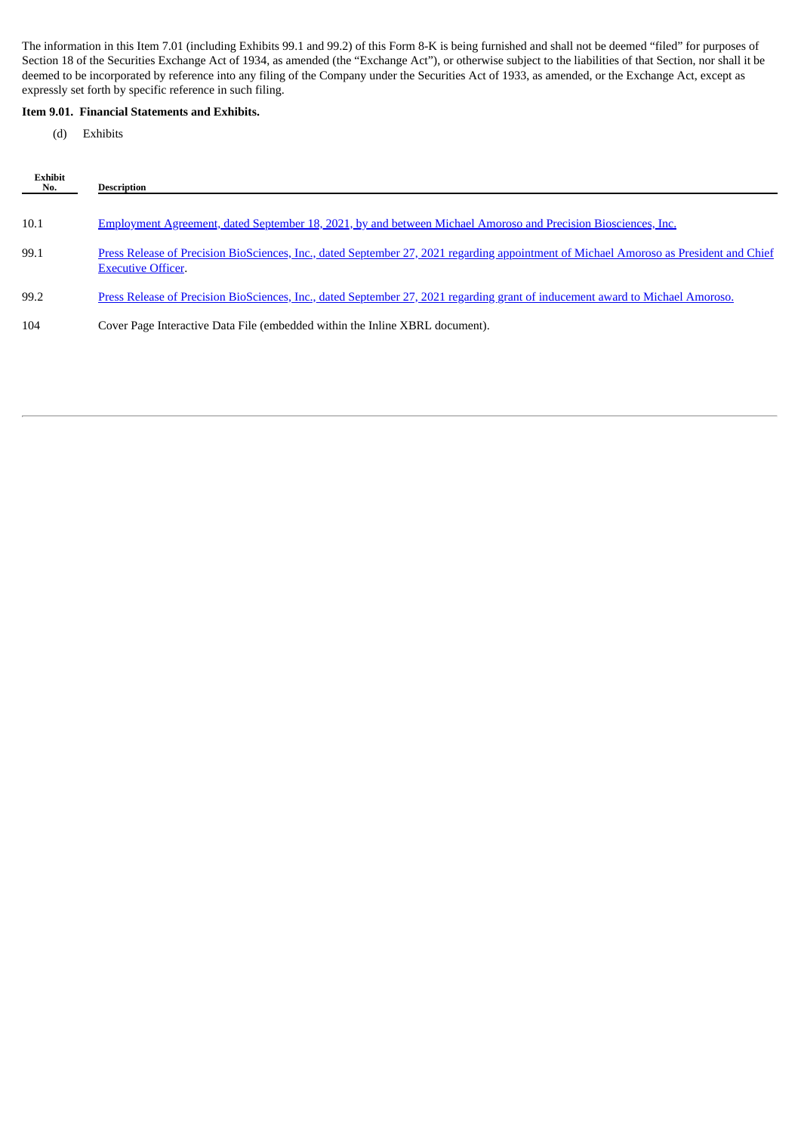The information in this Item 7.01 (including Exhibits 99.1 and 99.2) of this Form 8-K is being furnished and shall not be deemed "filed" for purposes of Section 18 of the Securities Exchange Act of 1934, as amended (the "Exchange Act"), or otherwise subject to the liabilities of that Section, nor shall it be deemed to be incorporated by reference into any filing of the Company under the Securities Act of 1933, as amended, or the Exchange Act, except as expressly set forth by specific reference in such filing.

#### **Item 9.01. Financial Statements and Exhibits.**

(d) Exhibits

| Exhibit<br>No. | <b>Description</b>                                                                                                                                                  |
|----------------|---------------------------------------------------------------------------------------------------------------------------------------------------------------------|
| 10.1           | Employment Agreement, dated September 18, 2021, by and between Michael Amoroso and Precision Biosciences, Inc.                                                      |
| 99.1           | Press Release of Precision BioSciences, Inc., dated September 27, 2021 regarding appointment of Michael Amoroso as President and Chief<br><b>Executive Officer.</b> |
| 99.2           | Press Release of Precision BioSciences, Inc., dated September 27, 2021 regarding grant of inducement award to Michael Amoroso.                                      |
| 104            | Cover Page Interactive Data File (embedded within the Inline XBRL document).                                                                                        |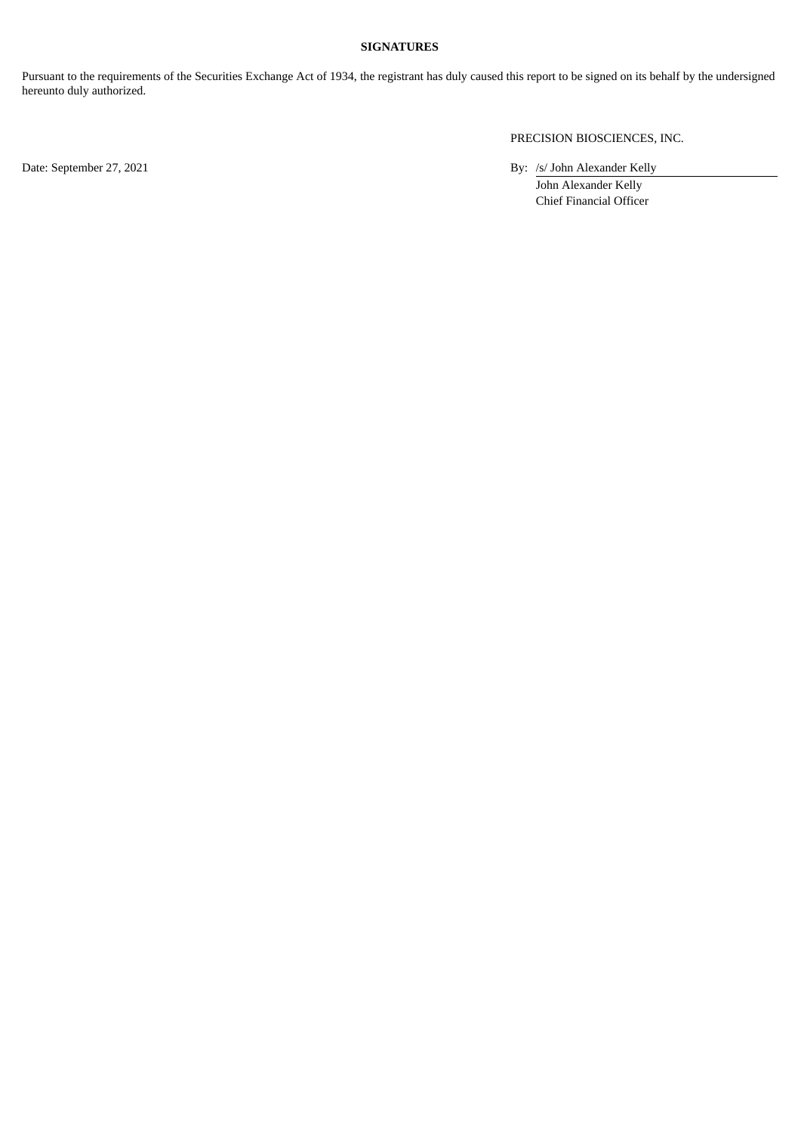#### **SIGNATURES**

Pursuant to the requirements of the Securities Exchange Act of 1934, the registrant has duly caused this report to be signed on its behalf by the undersigned hereunto duly authorized.

PRECISION BIOSCIENCES, INC.

Date: September 27, 2021 By: /s/ John Alexander Kelly

John Alexander Kelly Chief Financial Officer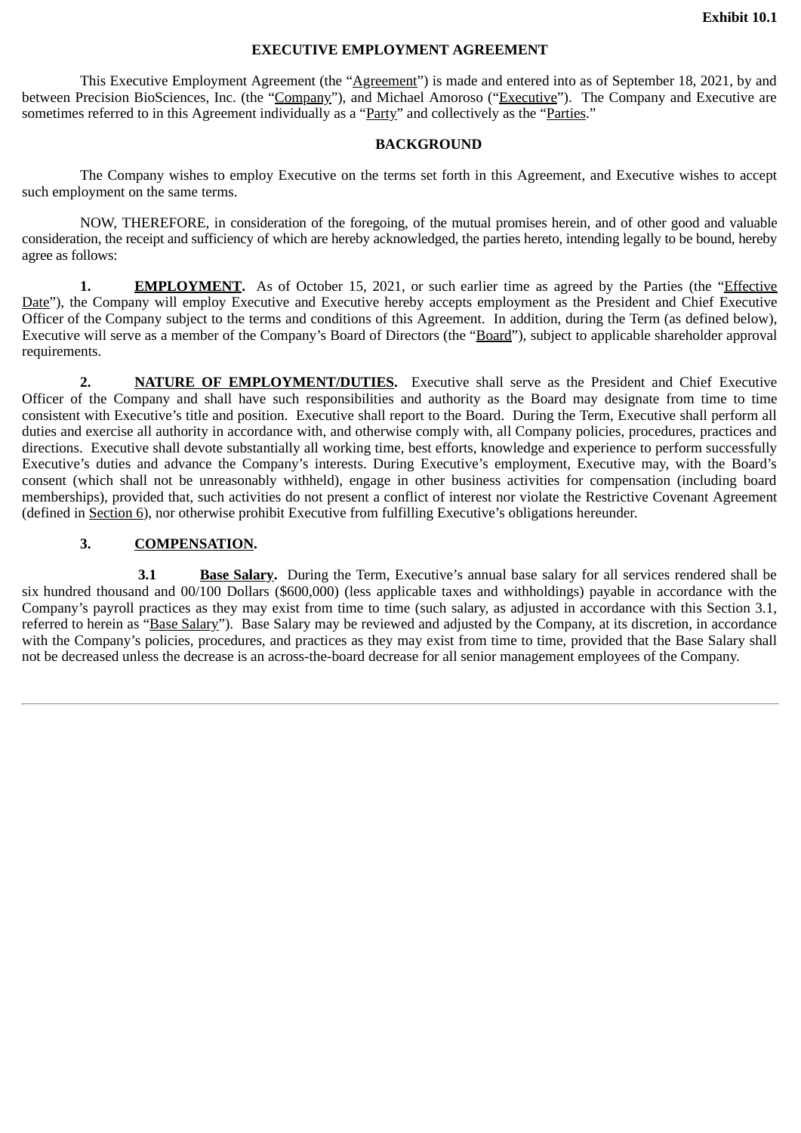## **EXECUTIVE EMPLOYMENT AGREEMENT**

<span id="page-5-0"></span>This Executive Employment Agreement (the "Agreement") is made and entered into as of September 18, 2021, by and between Precision BioSciences, Inc. (the "Company"), and Michael Amoroso ("Executive"). The Company and Executive are sometimes referred to in this Agreement individually as a "Party" and collectively as the "Parties."

# **BACKGROUND**

The Company wishes to employ Executive on the terms set forth in this Agreement, and Executive wishes to accept such employment on the same terms.

NOW, THEREFORE, in consideration of the foregoing, of the mutual promises herein, and of other good and valuable consideration, the receipt and sufficiency of which are hereby acknowledged, the parties hereto, intending legally to be bound, hereby agree as follows:

**1. EMPLOYMENT.** As of October 15, 2021, or such earlier time as agreed by the Parties (the "*Effective* Date"), the Company will employ Executive and Executive hereby accepts employment as the President and Chief Executive Officer of the Company subject to the terms and conditions of this Agreement. In addition, during the Term (as defined below), Executive will serve as a member of the Company's Board of Directors (the "Board"), subject to applicable shareholder approval requirements.

2. **NATURE OF EMPLOYMENT/DUTIES.** Executive shall serve as the President and Chief Executive Officer of the Company and shall have such responsibilities and authority as the Board may designate from time to time consistent with Executive's title and position. Executive shall report to the Board. During the Term, Executive shall perform all duties and exercise all authority in accordance with, and otherwise comply with, all Company policies, procedures, practices and directions. Executive shall devote substantially all working time, best efforts, knowledge and experience to perform successfully Executive's duties and advance the Company's interests. During Executive's employment, Executive may, with the Board's consent (which shall not be unreasonably withheld), engage in other business activities for compensation (including board memberships), provided that, such activities do not present a conflict of interest nor violate the Restrictive Covenant Agreement (defined in Section 6), nor otherwise prohibit Executive from fulfilling Executive's obligations hereunder.

# **3. COMPENSATION.**

**3.1 Base Salary.** During the Term, Executive's annual base salary for all services rendered shall be six hundred thousand and 00/100 Dollars (\$600,000) (less applicable taxes and withholdings) payable in accordance with the Company's payroll practices as they may exist from time to time (such salary, as adjusted in accordance with this Section 3.1, referred to herein as "Base Salary"). Base Salary may be reviewed and adjusted by the Company, at its discretion, in accordance with the Company's policies, procedures, and practices as they may exist from time to time, provided that the Base Salary shall not be decreased unless the decrease is an across-the-board decrease for all senior management employees of the Company.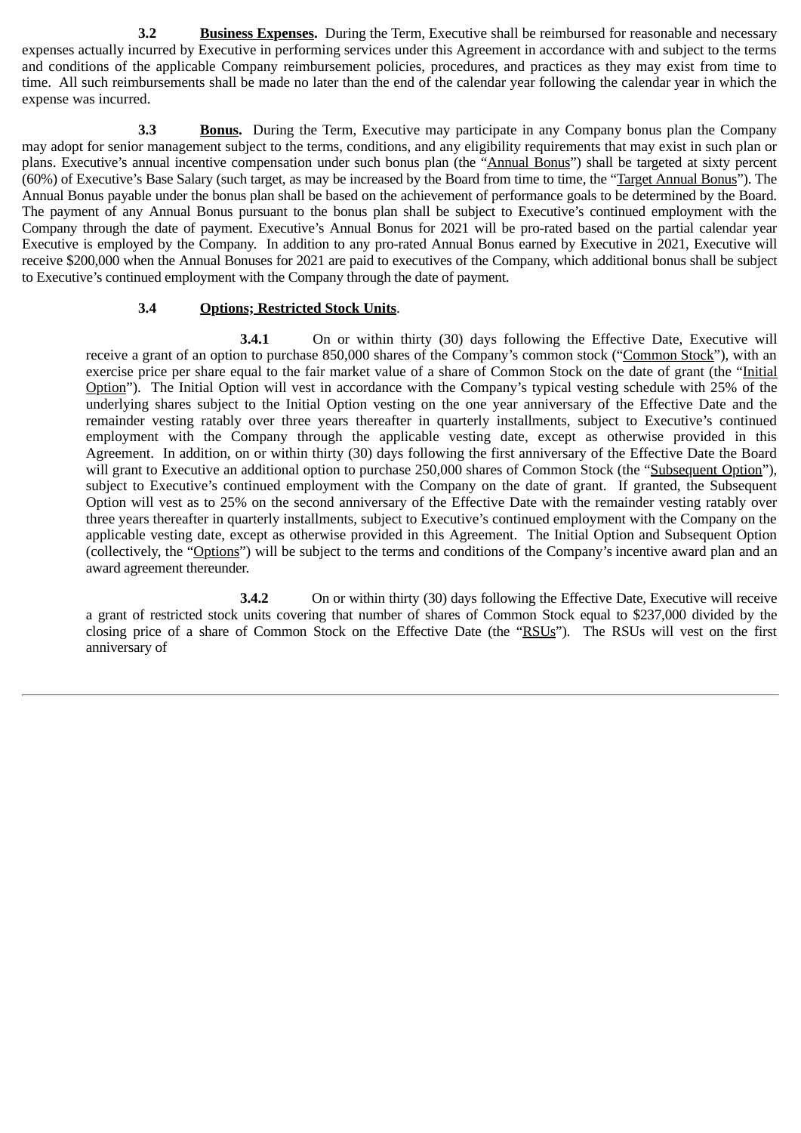**3.2 Business Expenses.** During the Term, Executive shall be reimbursed for reasonable and necessary expenses actually incurred by Executive in performing services under this Agreement in accordance with and subject to the terms and conditions of the applicable Company reimbursement policies, procedures, and practices as they may exist from time to time. All such reimbursements shall be made no later than the end of the calendar year following the calendar year in which the expense was incurred.

**3.3 Bonus.** During the Term, Executive may participate in any Company bonus plan the Company may adopt for senior management subject to the terms, conditions, and any eligibility requirements that may exist in such plan or plans. Executive's annual incentive compensation under such bonus plan (the "Annual Bonus") shall be targeted at sixty percent (60%) of Executive's Base Salary (such target, as may be increased by the Board from time to time, the "Target Annual Bonus"). The Annual Bonus payable under the bonus plan shall be based on the achievement of performance goals to be determined by the Board. The payment of any Annual Bonus pursuant to the bonus plan shall be subject to Executive's continued employment with the Company through the date of payment. Executive's Annual Bonus for 2021 will be pro-rated based on the partial calendar year Executive is employed by the Company. In addition to any pro-rated Annual Bonus earned by Executive in 2021, Executive will receive \$200,000 when the Annual Bonuses for 2021 are paid to executives of the Company, which additional bonus shall be subject to Executive's continued employment with the Company through the date of payment.

# **3.4 Options; Restricted Stock Units**.

**3.4.1** On or within thirty (30) days following the Effective Date, Executive will receive a grant of an option to purchase 850,000 shares of the Company's common stock ("Common Stock"), with an exercise price per share equal to the fair market value of a share of Common Stock on the date of grant (the "Initial Option"). The Initial Option will vest in accordance with the Company's typical vesting schedule with 25% of the underlying shares subject to the Initial Option vesting on the one year anniversary of the Effective Date and the remainder vesting ratably over three years thereafter in quarterly installments, subject to Executive's continued employment with the Company through the applicable vesting date, except as otherwise provided in this Agreement. In addition, on or within thirty (30) days following the first anniversary of the Effective Date the Board will grant to Executive an additional option to purchase 250,000 shares of Common Stock (the "Subsequent Option"), subject to Executive's continued employment with the Company on the date of grant. If granted, the Subsequent Option will vest as to 25% on the second anniversary of the Effective Date with the remainder vesting ratably over three years thereafter in quarterly installments, subject to Executive's continued employment with the Company on the applicable vesting date, except as otherwise provided in this Agreement. The Initial Option and Subsequent Option (collectively, the "Options") will be subject to the terms and conditions of the Company's incentive award plan and an award agreement thereunder.

**3.4.2** On or within thirty (30) days following the Effective Date, Executive will receive a grant of restricted stock units covering that number of shares of Common Stock equal to \$237,000 divided by the closing price of a share of Common Stock on the Effective Date (the "RSUs"). The RSUs will vest on the first anniversary of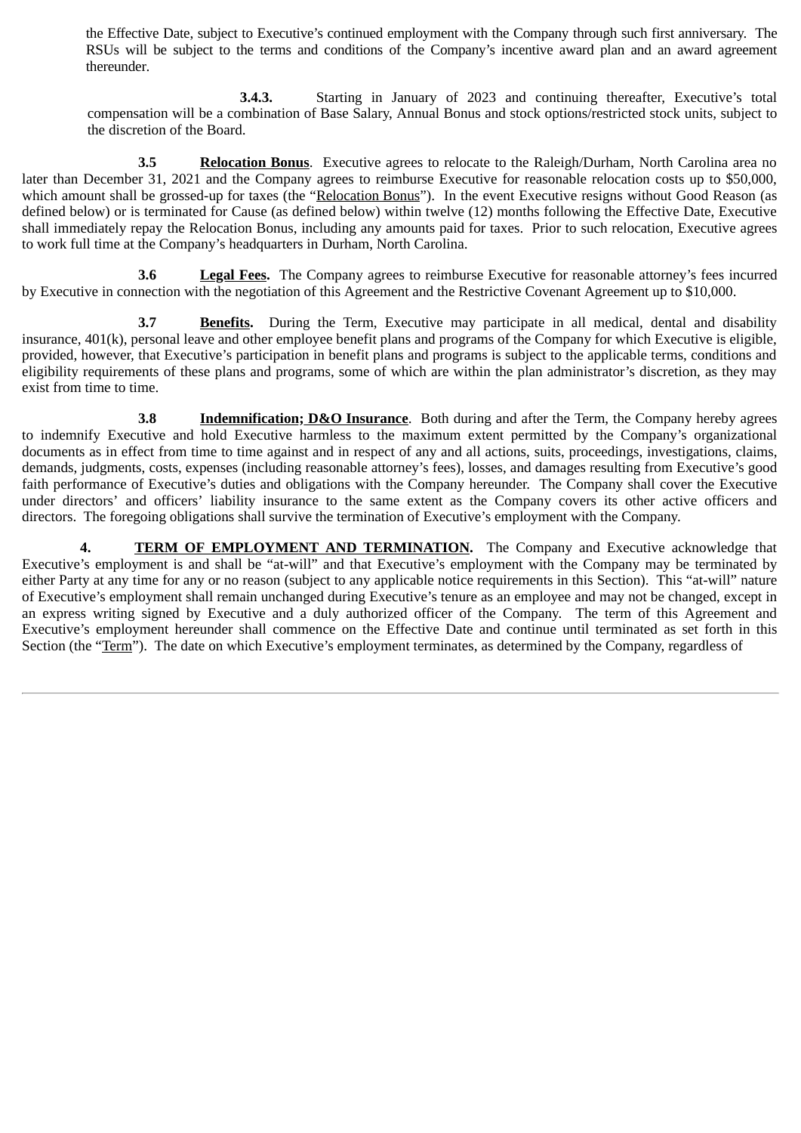the Effective Date, subject to Executive's continued employment with the Company through such first anniversary. The RSUs will be subject to the terms and conditions of the Company's incentive award plan and an award agreement thereunder.

**3.4.3.** Starting in January of 2023 and continuing thereafter, Executive's total compensation will be a combination of Base Salary, Annual Bonus and stock options/restricted stock units, subject to the discretion of the Board.

**3.5 Relocation Bonus**. Executive agrees to relocate to the Raleigh/Durham, North Carolina area no later than December 31, 2021 and the Company agrees to reimburse Executive for reasonable relocation costs up to \$50,000, which amount shall be grossed-up for taxes (the "Relocation Bonus"). In the event Executive resigns without Good Reason (as defined below) or is terminated for Cause (as defined below) within twelve (12) months following the Effective Date, Executive shall immediately repay the Relocation Bonus, including any amounts paid for taxes. Prior to such relocation, Executive agrees to work full time at the Company's headquarters in Durham, North Carolina.

**3.6 Legal Fees.** The Company agrees to reimburse Executive for reasonable attorney's fees incurred by Executive in connection with the negotiation of this Agreement and the Restrictive Covenant Agreement up to \$10,000.

**3.7 Benefits.** During the Term, Executive may participate in all medical, dental and disability insurance, 401(k), personal leave and other employee benefit plans and programs of the Company for which Executive is eligible, provided, however, that Executive's participation in benefit plans and programs is subject to the applicable terms, conditions and eligibility requirements of these plans and programs, some of which are within the plan administrator's discretion, as they may exist from time to time.

**3.8 Indemnification; D&O Insurance**. Both during and after the Term, the Company hereby agrees to indemnify Executive and hold Executive harmless to the maximum extent permitted by the Company's organizational documents as in effect from time to time against and in respect of any and all actions, suits, proceedings, investigations, claims, demands, judgments, costs, expenses (including reasonable attorney's fees), losses, and damages resulting from Executive's good faith performance of Executive's duties and obligations with the Company hereunder. The Company shall cover the Executive under directors' and officers' liability insurance to the same extent as the Company covers its other active officers and directors. The foregoing obligations shall survive the termination of Executive's employment with the Company.

**4. TERM OF EMPLOYMENT AND TERMINATION.** The Company and Executive acknowledge that Executive's employment is and shall be "at-will" and that Executive's employment with the Company may be terminated by either Party at any time for any or no reason (subject to any applicable notice requirements in this Section). This "at-will" nature of Executive's employment shall remain unchanged during Executive's tenure as an employee and may not be changed, except in an express writing signed by Executive and a duly authorized officer of the Company. The term of this Agreement and Executive's employment hereunder shall commence on the Effective Date and continue until terminated as set forth in this Section (the "Term"). The date on which Executive's employment terminates, as determined by the Company, regardless of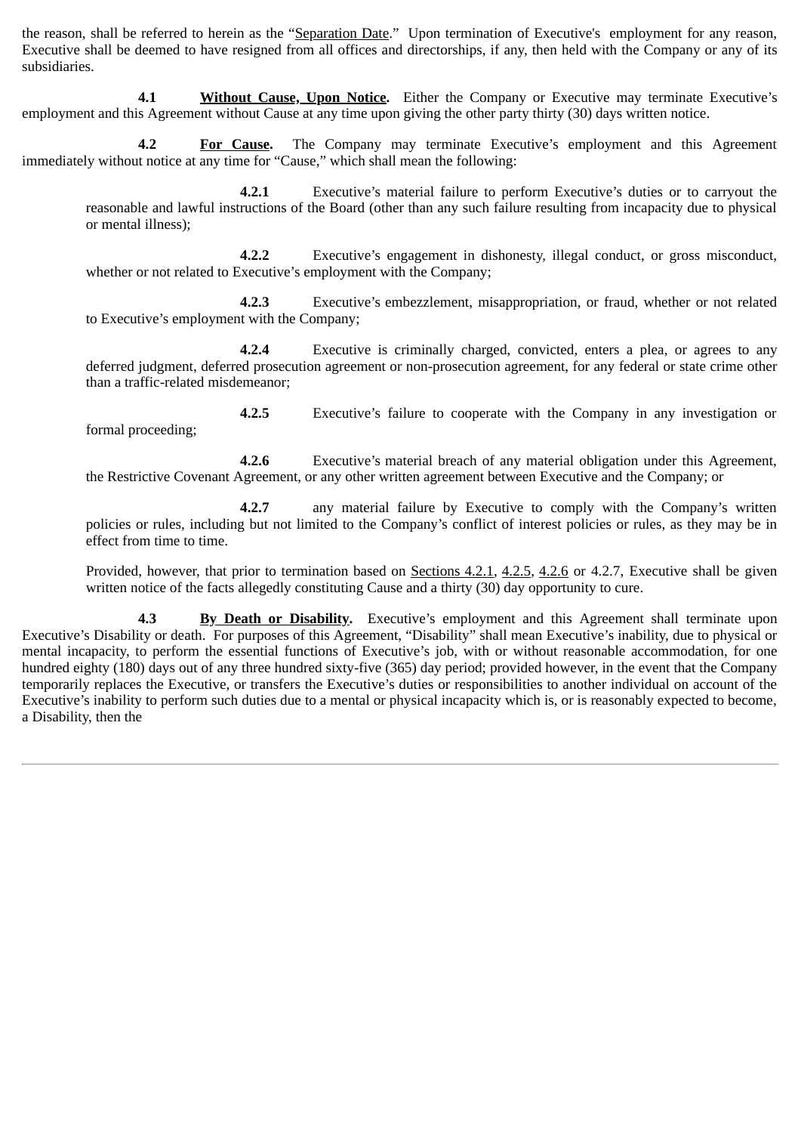the reason, shall be referred to herein as the "Separation Date." Upon termination of Executive's employment for any reason, Executive shall be deemed to have resigned from all offices and directorships, if any, then held with the Company or any of its subsidiaries.

**4.1 Without Cause, Upon Notice.** Either the Company or Executive may terminate Executive's employment and this Agreement without Cause at any time upon giving the other party thirty (30) days written notice.

**4.2 For Cause.** The Company may terminate Executive's employment and this Agreement immediately without notice at any time for "Cause," which shall mean the following:

**4.2.1** Executive's material failure to perform Executive's duties or to carryout the reasonable and lawful instructions of the Board (other than any such failure resulting from incapacity due to physical or mental illness);

**4.2.2** Executive's engagement in dishonesty, illegal conduct, or gross misconduct, whether or not related to Executive's employment with the Company;

**4.2.3** Executive's embezzlement, misappropriation, or fraud, whether or not related to Executive's employment with the Company;

**4.2.4** Executive is criminally charged, convicted, enters a plea, or agrees to any deferred judgment, deferred prosecution agreement or non-prosecution agreement, for any federal or state crime other than a traffic-related misdemeanor;

**4.2.5** Executive's failure to cooperate with the Company in any investigation or formal proceeding;

**4.2.6** Executive's material breach of any material obligation under this Agreement, the Restrictive Covenant Agreement, or any other written agreement between Executive and the Company; or

**4.2.7** any material failure by Executive to comply with the Company's written policies or rules, including but not limited to the Company's conflict of interest policies or rules, as they may be in effect from time to time.

Provided, however, that prior to termination based on Sections 4.2.1, 4.2.5, 4.2.6 or 4.2.7, Executive shall be given written notice of the facts allegedly constituting Cause and a thirty (30) day opportunity to cure.

**4.3 By Death or Disability.** Executive's employment and this Agreement shall terminate upon Executive's Disability or death. For purposes of this Agreement, "Disability" shall mean Executive's inability, due to physical or mental incapacity, to perform the essential functions of Executive's job, with or without reasonable accommodation, for one hundred eighty (180) days out of any three hundred sixty-five (365) day period; provided however, in the event that the Company temporarily replaces the Executive, or transfers the Executive's duties or responsibilities to another individual on account of the Executive's inability to perform such duties due to a mental or physical incapacity which is, or is reasonably expected to become, a Disability, then the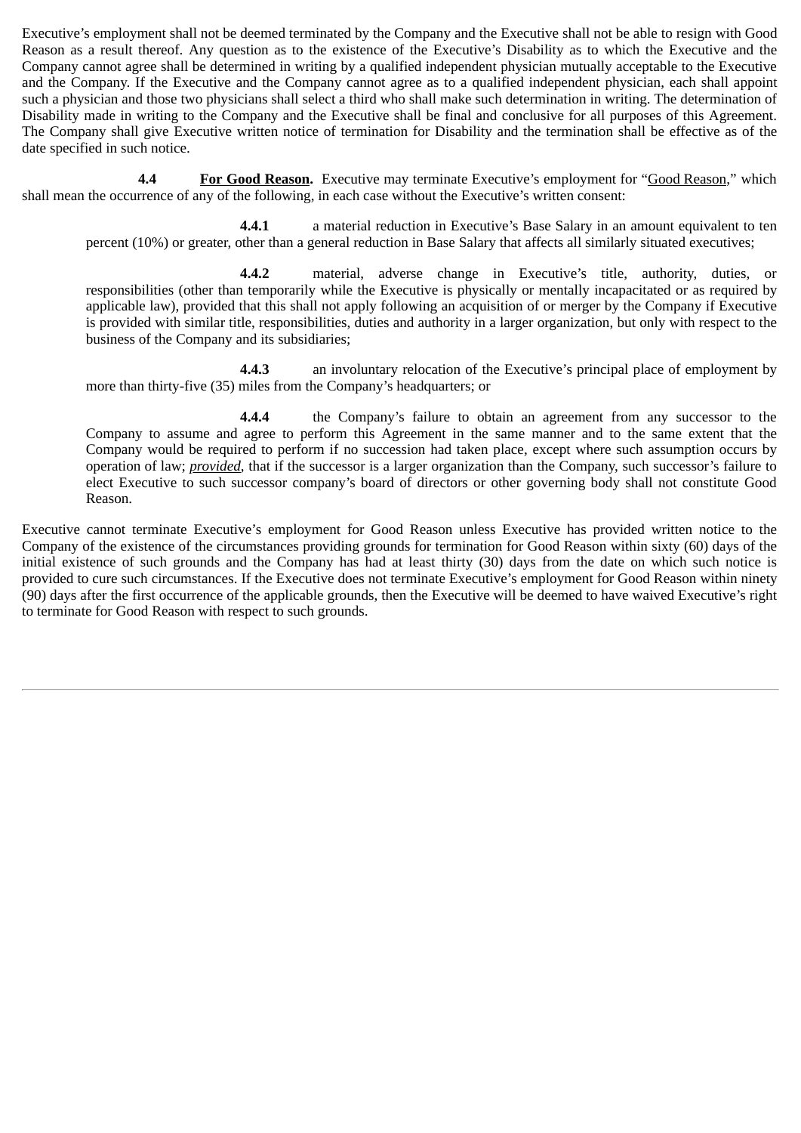Executive's employment shall not be deemed terminated by the Company and the Executive shall not be able to resign with Good Reason as a result thereof. Any question as to the existence of the Executive's Disability as to which the Executive and the Company cannot agree shall be determined in writing by a qualified independent physician mutually acceptable to the Executive and the Company. If the Executive and the Company cannot agree as to a qualified independent physician, each shall appoint such a physician and those two physicians shall select a third who shall make such determination in writing. The determination of Disability made in writing to the Company and the Executive shall be final and conclusive for all purposes of this Agreement. The Company shall give Executive written notice of termination for Disability and the termination shall be effective as of the date specified in such notice.

**4.4 For Good Reason.** Executive may terminate Executive's employment for "Good Reason," which shall mean the occurrence of any of the following, in each case without the Executive's written consent:

**4.4.1** a material reduction in Executive's Base Salary in an amount equivalent to ten percent (10%) or greater, other than a general reduction in Base Salary that affects all similarly situated executives;

**4.4.2** material, adverse change in Executive's title, authority, duties, or responsibilities (other than temporarily while the Executive is physically or mentally incapacitated or as required by applicable law), provided that this shall not apply following an acquisition of or merger by the Company if Executive is provided with similar title, responsibilities, duties and authority in a larger organization, but only with respect to the business of the Company and its subsidiaries;

**4.4.3** an involuntary relocation of the Executive's principal place of employment by more than thirty-five (35) miles from the Company's headquarters; or

**4.4.4** the Company's failure to obtain an agreement from any successor to the Company to assume and agree to perform this Agreement in the same manner and to the same extent that the Company would be required to perform if no succession had taken place, except where such assumption occurs by operation of law; *provided*, that if the successor is a larger organization than the Company, such successor's failure to elect Executive to such successor company's board of directors or other governing body shall not constitute Good Reason.

Executive cannot terminate Executive's employment for Good Reason unless Executive has provided written notice to the Company of the existence of the circumstances providing grounds for termination for Good Reason within sixty (60) days of the initial existence of such grounds and the Company has had at least thirty (30) days from the date on which such notice is provided to cure such circumstances. If the Executive does not terminate Executive's employment for Good Reason within ninety (90) days after the first occurrence of the applicable grounds, then the Executive will be deemed to have waived Executive's right to terminate for Good Reason with respect to such grounds.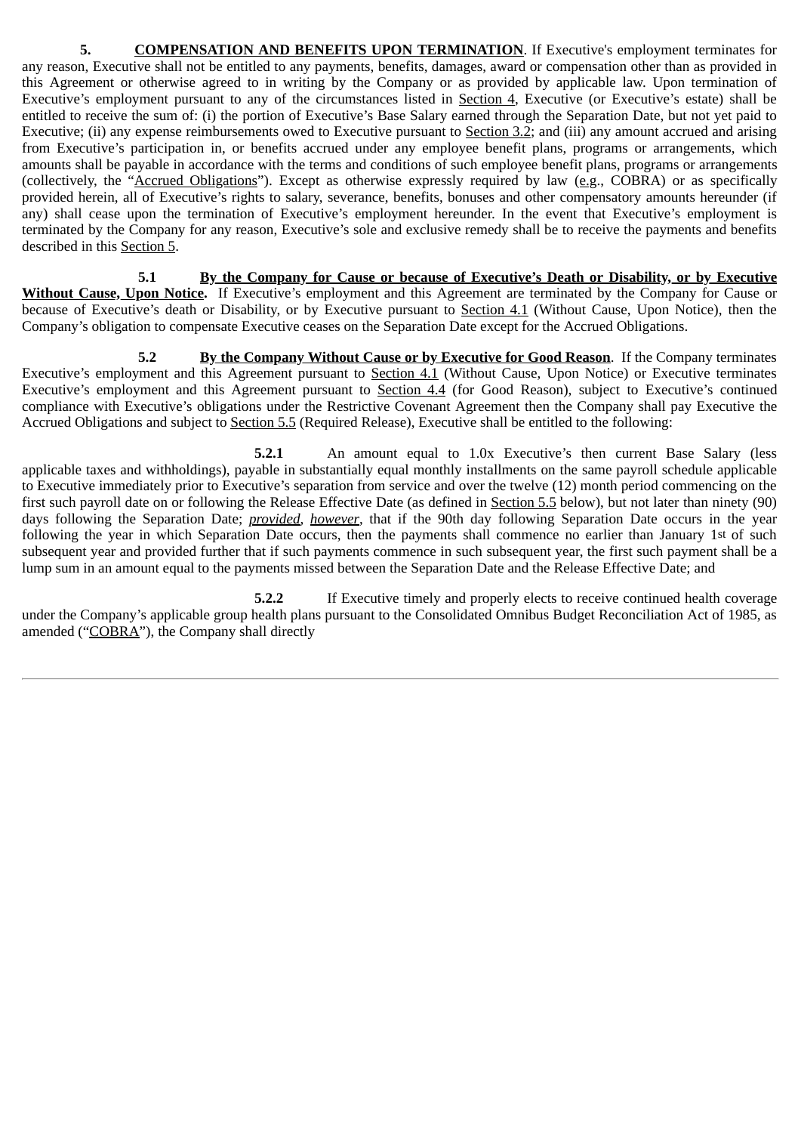**5. COMPENSATION AND BENEFITS UPON TERMINATION**. If Executive's employment terminates for any reason, Executive shall not be entitled to any payments, benefits, damages, award or compensation other than as provided in this Agreement or otherwise agreed to in writing by the Company or as provided by applicable law. Upon termination of Executive's employment pursuant to any of the circumstances listed in **Section 4**, Executive (or Executive's estate) shall be entitled to receive the sum of: (i) the portion of Executive's Base Salary earned through the Separation Date, but not yet paid to Executive; (ii) any expense reimbursements owed to Executive pursuant to Section 3.2; and (iii) any amount accrued and arising from Executive's participation in, or benefits accrued under any employee benefit plans, programs or arrangements, which amounts shall be payable in accordance with the terms and conditions of such employee benefit plans, programs or arrangements (collectively, the "Accrued Obligations"). Except as otherwise expressly required by law ( $e.g., COBRA$ ) or as specifically provided herein, all of Executive's rights to salary, severance, benefits, bonuses and other compensatory amounts hereunder (if any) shall cease upon the termination of Executive's employment hereunder. In the event that Executive's employment is terminated by the Company for any reason, Executive's sole and exclusive remedy shall be to receive the payments and benefits described in this Section 5.

**5.1 By the Company for Cause or because of Executive's Death or Disability, or by Executive Without Cause, Upon Notice.** If Executive's employment and this Agreement are terminated by the Company for Cause or because of Executive's death or Disability, or by Executive pursuant to Section 4.1 (Without Cause, Upon Notice), then the Company's obligation to compensate Executive ceases on the Separation Date except for the Accrued Obligations.

**5.2 By the Company Without Cause or by Executive for Good Reason.** If the Company terminates Executive's employment and this Agreement pursuant to Section 4.1 (Without Cause, Upon Notice) or Executive terminates Executive's employment and this Agreement pursuant to Section 4.4 (for Good Reason), subject to Executive's continued compliance with Executive's obligations under the Restrictive Covenant Agreement then the Company shall pay Executive the Accrued Obligations and subject to Section 5.5 (Required Release), Executive shall be entitled to the following:

**5.2.1** An amount equal to 1.0x Executive's then current Base Salary (less applicable taxes and withholdings), payable in substantially equal monthly installments on the same payroll schedule applicable to Executive immediately prior to Executive's separation from service and over the twelve (12) month period commencing on the first such payroll date on or following the Release Effective Date (as defined in Section 5.5 below), but not later than ninety (90) days following the Separation Date; *provided*, *however*, that if the 90th day following Separation Date occurs in the year following the year in which Separation Date occurs, then the payments shall commence no earlier than January 1st of such subsequent year and provided further that if such payments commence in such subsequent year, the first such payment shall be a lump sum in an amount equal to the payments missed between the Separation Date and the Release Effective Date; and

**5.2.2** If Executive timely and properly elects to receive continued health coverage under the Company's applicable group health plans pursuant to the Consolidated Omnibus Budget Reconciliation Act of 1985, as amended ("COBRA"), the Company shall directly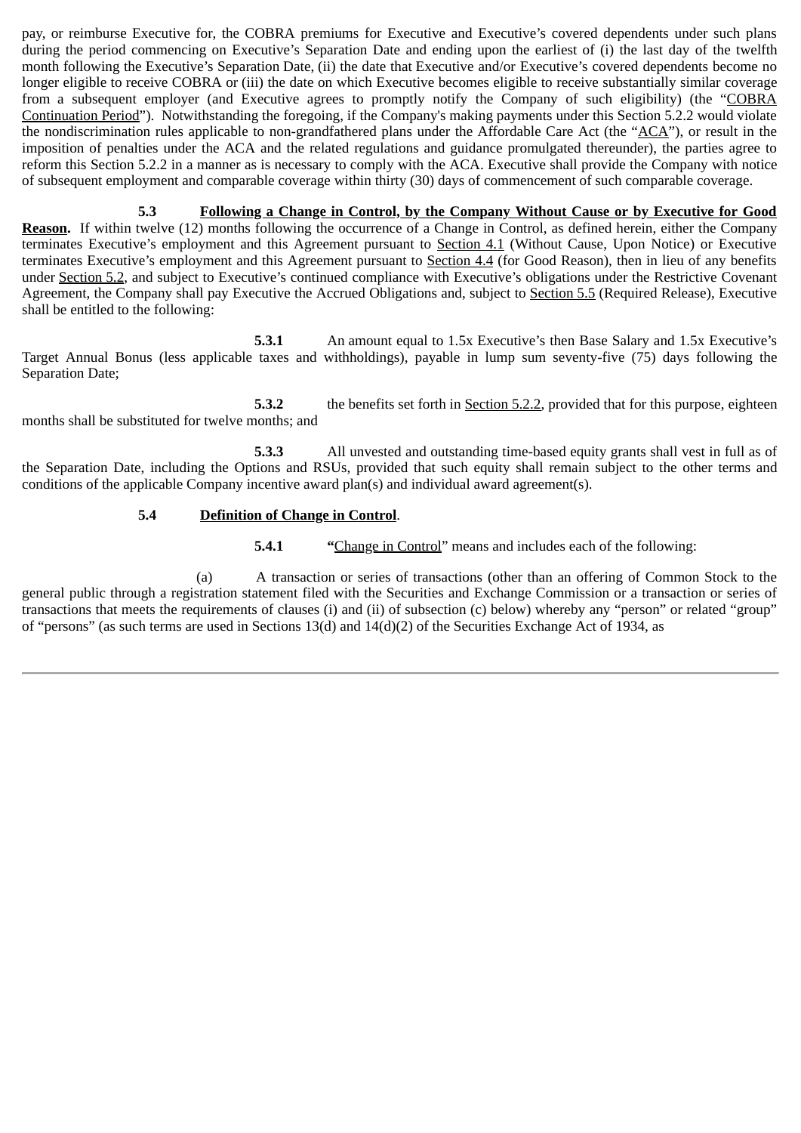pay, or reimburse Executive for, the COBRA premiums for Executive and Executive's covered dependents under such plans during the period commencing on Executive's Separation Date and ending upon the earliest of (i) the last day of the twelfth month following the Executive's Separation Date, (ii) the date that Executive and/or Executive's covered dependents become no longer eligible to receive COBRA or (iii) the date on which Executive becomes eligible to receive substantially similar coverage from a subsequent employer (and Executive agrees to promptly notify the Company of such eligibility) (the "COBRA Continuation Period"). Notwithstanding the foregoing, if the Company's making payments under this Section 5.2.2 would violate the nondiscrimination rules applicable to non-grandfathered plans under the Affordable Care Act (the "ACA"), or result in the imposition of penalties under the ACA and the related regulations and guidance promulgated thereunder), the parties agree to reform this Section 5.2.2 in a manner as is necessary to comply with the ACA. Executive shall provide the Company with notice of subsequent employment and comparable coverage within thirty (30) days of commencement of such comparable coverage.

**5.3 Following a Change in Control, by the Company Without Cause or by Executive for Good Reason.** If within twelve (12) months following the occurrence of a Change in Control, as defined herein, either the Company terminates Executive's employment and this Agreement pursuant to Section 4.1 (Without Cause, Upon Notice) or Executive terminates Executive's employment and this Agreement pursuant to Section 4.4 (for Good Reason), then in lieu of any benefits under Section 5.2, and subject to Executive's continued compliance with Executive's obligations under the Restrictive Covenant Agreement, the Company shall pay Executive the Accrued Obligations and, subject to Section 5.5 (Required Release), Executive shall be entitled to the following:

**5.3.1** An amount equal to 1.5x Executive's then Base Salary and 1.5x Executive's Target Annual Bonus (less applicable taxes and withholdings), payable in lump sum seventy-five (75) days following the Separation Date;

**5.3.2** the benefits set forth in Section 5.2.2, provided that for this purpose, eighteen months shall be substituted for twelve months; and

**5.3.3** All unvested and outstanding time-based equity grants shall vest in full as of the Separation Date, including the Options and RSUs, provided that such equity shall remain subject to the other terms and conditions of the applicable Company incentive award plan(s) and individual award agreement(s).

# **5.4 Definition of Change in Control**.

**5.4.1 "Change in Control"** means and includes each of the following:

(a) A transaction or series of transactions (other than an offering of Common Stock to the general public through a registration statement filed with the Securities and Exchange Commission or a transaction or series of transactions that meets the requirements of clauses (i) and (ii) of subsection (c) below) whereby any "person" or related "group" of "persons" (as such terms are used in Sections 13(d) and 14(d)(2) of the Securities Exchange Act of 1934, as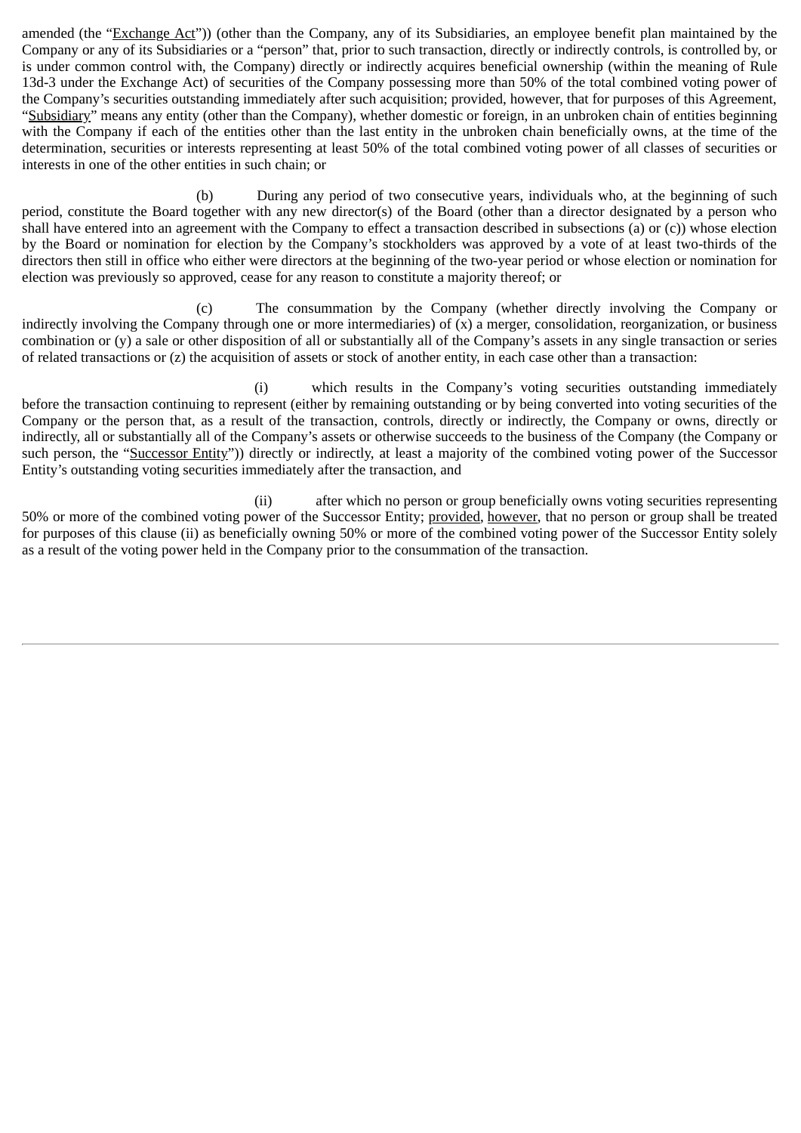amended (the "Exchange Act")) (other than the Company, any of its Subsidiaries, an employee benefit plan maintained by the Company or any of its Subsidiaries or a "person" that, prior to such transaction, directly or indirectly controls, is controlled by, or is under common control with, the Company) directly or indirectly acquires beneficial ownership (within the meaning of Rule 13d-3 under the Exchange Act) of securities of the Company possessing more than 50% of the total combined voting power of the Company's securities outstanding immediately after such acquisition; provided, however, that for purposes of this Agreement, "Subsidiary" means any entity (other than the Company), whether domestic or foreign, in an unbroken chain of entities beginning with the Company if each of the entities other than the last entity in the unbroken chain beneficially owns, at the time of the determination, securities or interests representing at least 50% of the total combined voting power of all classes of securities or interests in one of the other entities in such chain; or

(b) During any period of two consecutive years, individuals who, at the beginning of such period, constitute the Board together with any new director(s) of the Board (other than a director designated by a person who shall have entered into an agreement with the Company to effect a transaction described in subsections (a) or (c)) whose election by the Board or nomination for election by the Company's stockholders was approved by a vote of at least two-thirds of the directors then still in office who either were directors at the beginning of the two-year period or whose election or nomination for election was previously so approved, cease for any reason to constitute a majority thereof; or

(c) The consummation by the Company (whether directly involving the Company or indirectly involving the Company through one or more intermediaries) of (x) a merger, consolidation, reorganization, or business combination or (y) a sale or other disposition of all or substantially all of the Company's assets in any single transaction or series of related transactions or (z) the acquisition of assets or stock of another entity, in each case other than a transaction:

(i) which results in the Company's voting securities outstanding immediately before the transaction continuing to represent (either by remaining outstanding or by being converted into voting securities of the Company or the person that, as a result of the transaction, controls, directly or indirectly, the Company or owns, directly or indirectly, all or substantially all of the Company's assets or otherwise succeeds to the business of the Company (the Company or such person, the "Successor Entity")) directly or indirectly, at least a majority of the combined voting power of the Successor Entity's outstanding voting securities immediately after the transaction, and

(ii) after which no person or group beneficially owns voting securities representing 50% or more of the combined voting power of the Successor Entity; provided, however, that no person or group shall be treated for purposes of this clause (ii) as beneficially owning 50% or more of the combined voting power of the Successor Entity solely as a result of the voting power held in the Company prior to the consummation of the transaction.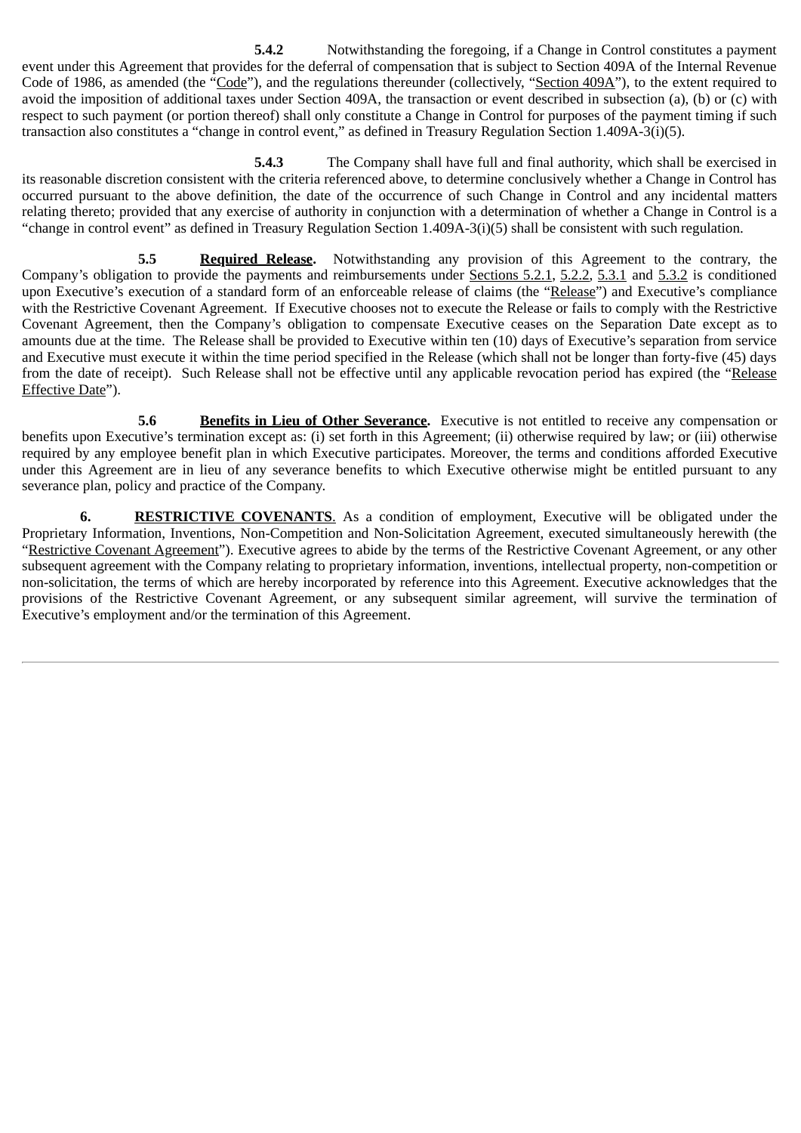**5.4.2** Notwithstanding the foregoing, if a Change in Control constitutes a payment event under this Agreement that provides for the deferral of compensation that is subject to Section 409A of the Internal Revenue Code of 1986, as amended (the "Code"), and the regulations thereunder (collectively, "Section 409A"), to the extent required to avoid the imposition of additional taxes under Section 409A, the transaction or event described in subsection (a), (b) or (c) with respect to such payment (or portion thereof) shall only constitute a Change in Control for purposes of the payment timing if such transaction also constitutes a "change in control event," as defined in Treasury Regulation Section 1.409A-3(i)(5).

**5.4.3** The Company shall have full and final authority, which shall be exercised in its reasonable discretion consistent with the criteria referenced above, to determine conclusively whether a Change in Control has occurred pursuant to the above definition, the date of the occurrence of such Change in Control and any incidental matters relating thereto; provided that any exercise of authority in conjunction with a determination of whether a Change in Control is a "change in control event" as defined in Treasury Regulation Section 1.409A-3(i)(5) shall be consistent with such regulation.

**5.5 Required Release.** Notwithstanding any provision of this Agreement to the contrary, the Company's obligation to provide the payments and reimbursements under Sections 5.2.1, 5.2.2, 5.3.1 and 5.3.2 is conditioned upon Executive's execution of a standard form of an enforceable release of claims (the "Release") and Executive's compliance with the Restrictive Covenant Agreement. If Executive chooses not to execute the Release or fails to comply with the Restrictive Covenant Agreement, then the Company's obligation to compensate Executive ceases on the Separation Date except as to amounts due at the time. The Release shall be provided to Executive within ten (10) days of Executive's separation from service and Executive must execute it within the time period specified in the Release (which shall not be longer than forty-five (45) days from the date of receipt). Such Release shall not be effective until any applicable revocation period has expired (the "Release Effective Date").

**5.6 Benefits in Lieu of Other Severance.** Executive is not entitled to receive any compensation or benefits upon Executive's termination except as: (i) set forth in this Agreement; (ii) otherwise required by law; or (iii) otherwise required by any employee benefit plan in which Executive participates. Moreover, the terms and conditions afforded Executive under this Agreement are in lieu of any severance benefits to which Executive otherwise might be entitled pursuant to any severance plan, policy and practice of the Company.

**6. RESTRICTIVE COVENANTS**. As a condition of employment, Executive will be obligated under the Proprietary Information, Inventions, Non-Competition and Non-Solicitation Agreement, executed simultaneously herewith (the "Restrictive Covenant Agreement"). Executive agrees to abide by the terms of the Restrictive Covenant Agreement, or any other subsequent agreement with the Company relating to proprietary information, inventions, intellectual property, non-competition or non-solicitation, the terms of which are hereby incorporated by reference into this Agreement. Executive acknowledges that the provisions of the Restrictive Covenant Agreement, or any subsequent similar agreement, will survive the termination of Executive's employment and/or the termination of this Agreement.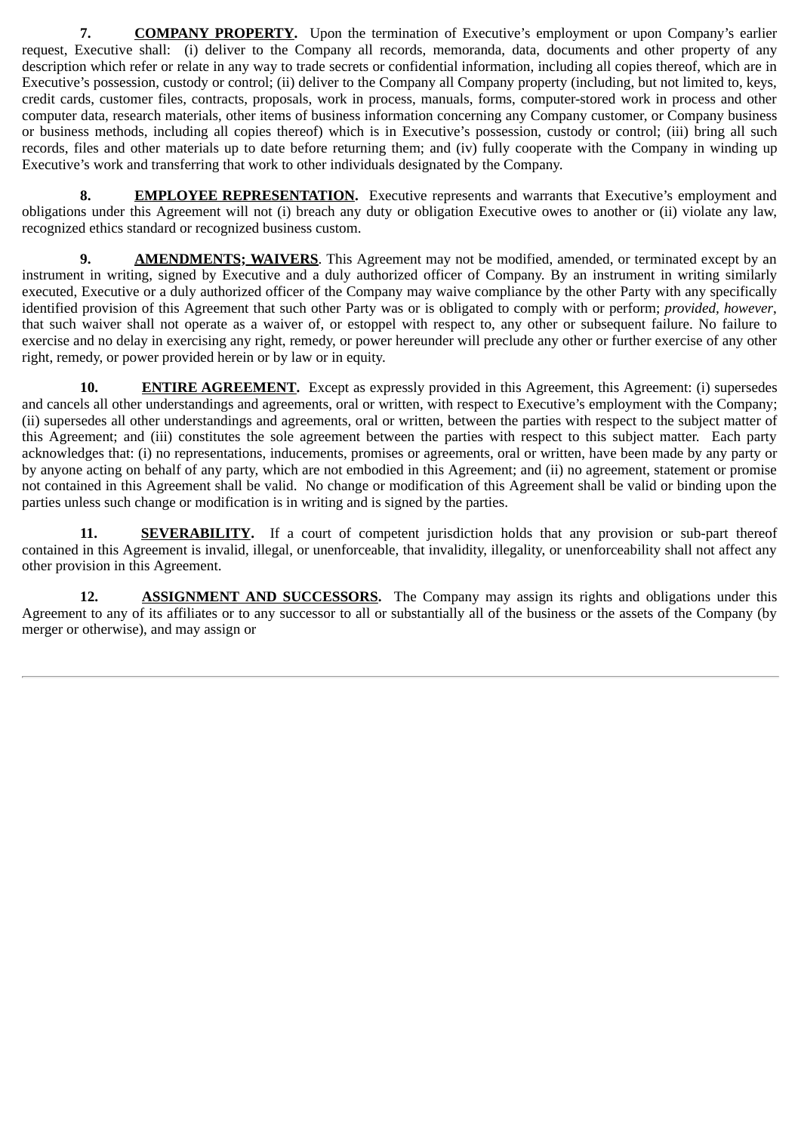**7. COMPANY PROPERTY.** Upon the termination of Executive's employment or upon Company's earlier request, Executive shall: (i) deliver to the Company all records, memoranda, data, documents and other property of any description which refer or relate in any way to trade secrets or confidential information, including all copies thereof, which are in Executive's possession, custody or control; (ii) deliver to the Company all Company property (including, but not limited to, keys, credit cards, customer files, contracts, proposals, work in process, manuals, forms, computer-stored work in process and other computer data, research materials, other items of business information concerning any Company customer, or Company business or business methods, including all copies thereof) which is in Executive's possession, custody or control; (iii) bring all such records, files and other materials up to date before returning them; and (iv) fully cooperate with the Company in winding up Executive's work and transferring that work to other individuals designated by the Company.

**8. EMPLOYEE REPRESENTATION.** Executive represents and warrants that Executive's employment and obligations under this Agreement will not (i) breach any duty or obligation Executive owes to another or (ii) violate any law, recognized ethics standard or recognized business custom.

**9. AMENDMENTS; WAIVERS**. This Agreement may not be modified, amended, or terminated except by an instrument in writing, signed by Executive and a duly authorized officer of Company. By an instrument in writing similarly executed, Executive or a duly authorized officer of the Company may waive compliance by the other Party with any specifically identified provision of this Agreement that such other Party was or is obligated to comply with or perform; *provided, however*, that such waiver shall not operate as a waiver of, or estoppel with respect to, any other or subsequent failure. No failure to exercise and no delay in exercising any right, remedy, or power hereunder will preclude any other or further exercise of any other right, remedy, or power provided herein or by law or in equity.

**10. ENTIRE AGREEMENT.** Except as expressly provided in this Agreement, this Agreement: (i) supersedes and cancels all other understandings and agreements, oral or written, with respect to Executive's employment with the Company; (ii) supersedes all other understandings and agreements, oral or written, between the parties with respect to the subject matter of this Agreement; and (iii) constitutes the sole agreement between the parties with respect to this subject matter. Each party acknowledges that: (i) no representations, inducements, promises or agreements, oral or written, have been made by any party or by anyone acting on behalf of any party, which are not embodied in this Agreement; and (ii) no agreement, statement or promise not contained in this Agreement shall be valid. No change or modification of this Agreement shall be valid or binding upon the parties unless such change or modification is in writing and is signed by the parties.

**11. SEVERABILITY.** If a court of competent jurisdiction holds that any provision or sub-part thereof contained in this Agreement is invalid, illegal, or unenforceable, that invalidity, illegality, or unenforceability shall not affect any other provision in this Agreement.

**12. ASSIGNMENT AND SUCCESSORS.** The Company may assign its rights and obligations under this Agreement to any of its affiliates or to any successor to all or substantially all of the business or the assets of the Company (by merger or otherwise), and may assign or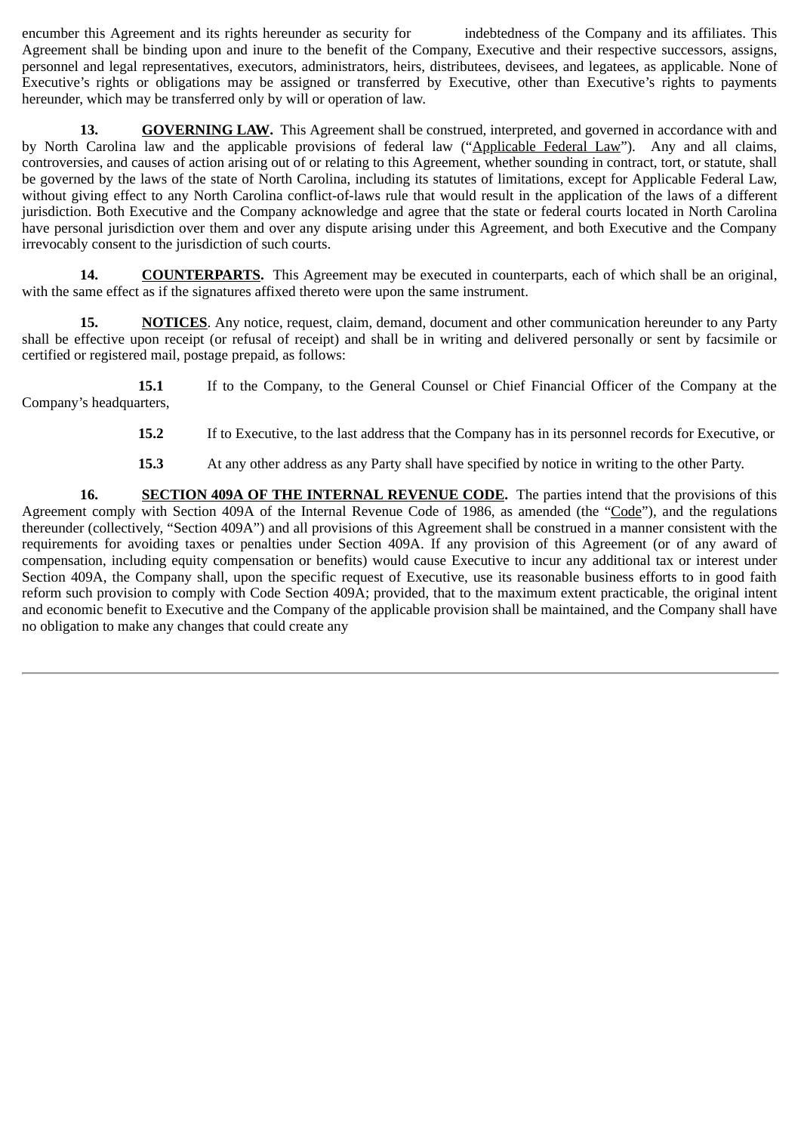encumber this Agreement and its rights hereunder as security for indebtedness of the Company and its affiliates. This Agreement shall be binding upon and inure to the benefit of the Company, Executive and their respective successors, assigns, personnel and legal representatives, executors, administrators, heirs, distributees, devisees, and legatees, as applicable. None of Executive's rights or obligations may be assigned or transferred by Executive, other than Executive's rights to payments hereunder, which may be transferred only by will or operation of law.

**13. GOVERNING LAW.** This Agreement shall be construed, interpreted, and governed in accordance with and by North Carolina law and the applicable provisions of federal law ("Applicable Federal Law"). Any and all claims, controversies, and causes of action arising out of or relating to this Agreement, whether sounding in contract, tort, or statute, shall be governed by the laws of the state of North Carolina, including its statutes of limitations, except for Applicable Federal Law, without giving effect to any North Carolina conflict-of-laws rule that would result in the application of the laws of a different jurisdiction. Both Executive and the Company acknowledge and agree that the state or federal courts located in North Carolina have personal jurisdiction over them and over any dispute arising under this Agreement, and both Executive and the Company irrevocably consent to the jurisdiction of such courts.

**14. COUNTERPARTS.** This Agreement may be executed in counterparts, each of which shall be an original, with the same effect as if the signatures affixed thereto were upon the same instrument.

**15. NOTICES**. Any notice, request, claim, demand, document and other communication hereunder to any Party shall be effective upon receipt (or refusal of receipt) and shall be in writing and delivered personally or sent by facsimile or certified or registered mail, postage prepaid, as follows:

**15.1** If to the Company, to the General Counsel or Chief Financial Officer of the Company at the Company's headquarters,

**15.2** If to Executive, to the last address that the Company has in its personnel records for Executive, or

**15.3** At any other address as any Party shall have specified by notice in writing to the other Party.

**16. SECTION 409A OF THE INTERNAL REVENUE CODE.** The parties intend that the provisions of this Agreement comply with Section 409A of the Internal Revenue Code of 1986, as amended (the "Code"), and the regulations thereunder (collectively, "Section 409A") and all provisions of this Agreement shall be construed in a manner consistent with the requirements for avoiding taxes or penalties under Section 409A. If any provision of this Agreement (or of any award of compensation, including equity compensation or benefits) would cause Executive to incur any additional tax or interest under Section 409A, the Company shall, upon the specific request of Executive, use its reasonable business efforts to in good faith reform such provision to comply with Code Section 409A; provided, that to the maximum extent practicable, the original intent and economic benefit to Executive and the Company of the applicable provision shall be maintained, and the Company shall have no obligation to make any changes that could create any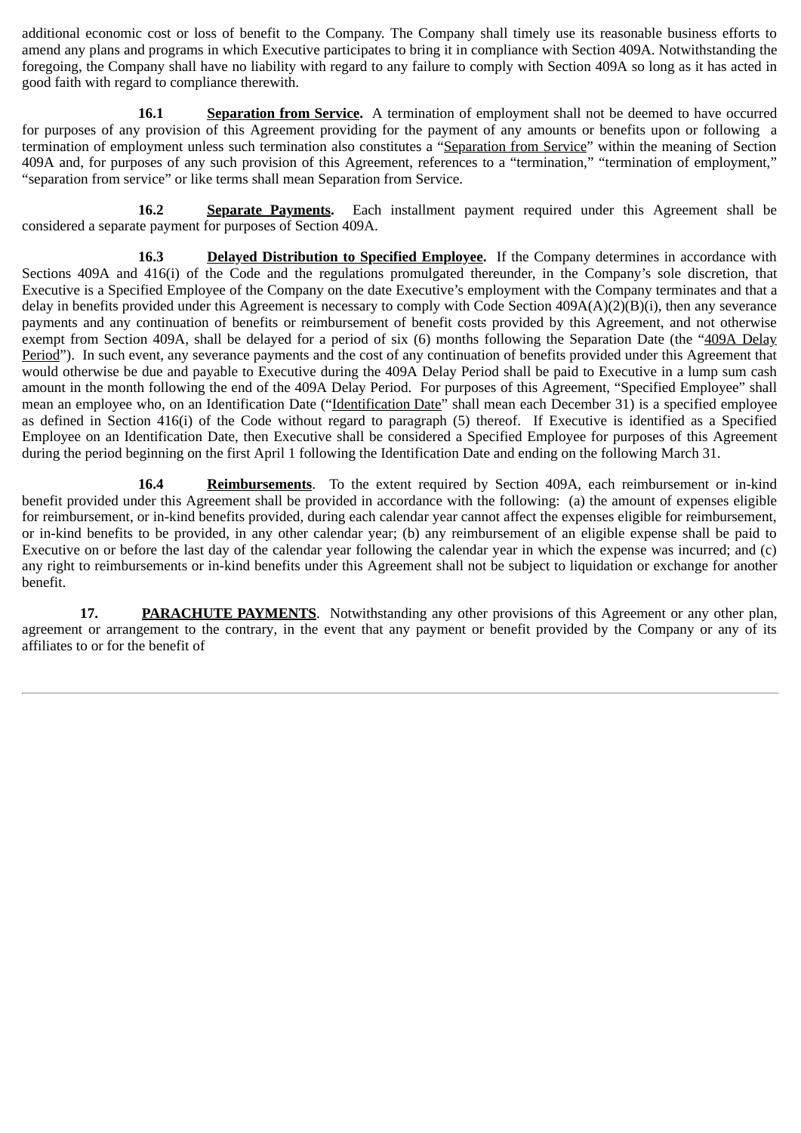additional economic cost or loss of benefit to the Company. The Company shall timely use its reasonable business efforts to amend any plans and programs in which Executive participates to bring it in compliance with Section 409A. Notwithstanding the foregoing, the Company shall have no liability with regard to any failure to comply with Section 409A so long as it has acted in good faith with regard to compliance therewith.

**16.1 Separation from Service.** A termination of employment shall not be deemed to have occurred for purposes of any provision of this Agreement providing for the payment of any amounts or benefits upon or following a termination of employment unless such termination also constitutes a "Separation from Service" within the meaning of Section 409A and, for purposes of any such provision of this Agreement, references to a "termination," "termination of employment," "separation from service" or like terms shall mean Separation from Service.

**16.2 Separate Payments.** Each installment payment required under this Agreement shall be considered a separate payment for purposes of Section 409A.

16.3 **Delayed Distribution to Specified Employee.** If the Company determines in accordance with Sections 409A and 416(i) of the Code and the regulations promulgated thereunder, in the Company's sole discretion, that Executive is a Specified Employee of the Company on the date Executive's employment with the Company terminates and that a delay in benefits provided under this Agreement is necessary to comply with Code Section  $409A(A)(2)(B)(i)$ , then any severance payments and any continuation of benefits or reimbursement of benefit costs provided by this Agreement, and not otherwise exempt from Section 409A, shall be delayed for a period of six (6) months following the Separation Date (the "409A Delay Period"). In such event, any severance payments and the cost of any continuation of benefits provided under this Agreement that would otherwise be due and payable to Executive during the 409A Delay Period shall be paid to Executive in a lump sum cash amount in the month following the end of the 409A Delay Period. For purposes of this Agreement, "Specified Employee" shall mean an employee who, on an Identification Date ("Identification Date" shall mean each December 31) is a specified employee as defined in Section 416(i) of the Code without regard to paragraph (5) thereof. If Executive is identified as a Specified Employee on an Identification Date, then Executive shall be considered a Specified Employee for purposes of this Agreement during the period beginning on the first April 1 following the Identification Date and ending on the following March 31.

**16.4 Reimbursements**. To the extent required by Section 409A, each reimbursement or in-kind benefit provided under this Agreement shall be provided in accordance with the following: (a) the amount of expenses eligible for reimbursement, or in-kind benefits provided, during each calendar year cannot affect the expenses eligible for reimbursement, or in-kind benefits to be provided, in any other calendar year; (b) any reimbursement of an eligible expense shall be paid to Executive on or before the last day of the calendar year following the calendar year in which the expense was incurred; and (c) any right to reimbursements or in-kind benefits under this Agreement shall not be subject to liquidation or exchange for another benefit.

**17. PARACHUTE PAYMENTS**. Notwithstanding any other provisions of this Agreement or any other plan, agreement or arrangement to the contrary, in the event that any payment or benefit provided by the Company or any of its affiliates to or for the benefit of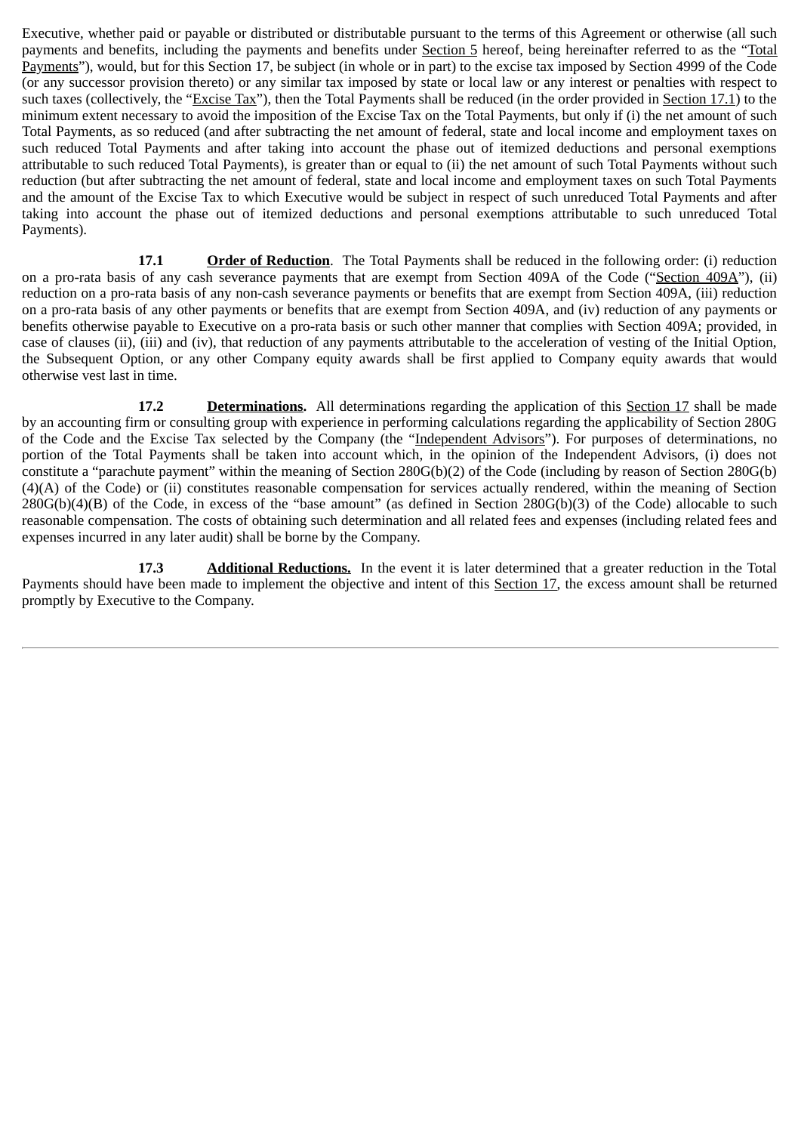Executive, whether paid or payable or distributed or distributable pursuant to the terms of this Agreement or otherwise (all such payments and benefits, including the payments and benefits under Section 5 hereof, being hereinafter referred to as the "Total Payments"), would, but for this Section 17, be subject (in whole or in part) to the excise tax imposed by Section 4999 of the Code (or any successor provision thereto) or any similar tax imposed by state or local law or any interest or penalties with respect to such taxes (collectively, the "Excise Tax"), then the Total Payments shall be reduced (in the order provided in Section 17.1) to the minimum extent necessary to avoid the imposition of the Excise Tax on the Total Payments, but only if (i) the net amount of such Total Payments, as so reduced (and after subtracting the net amount of federal, state and local income and employment taxes on such reduced Total Payments and after taking into account the phase out of itemized deductions and personal exemptions attributable to such reduced Total Payments), is greater than or equal to (ii) the net amount of such Total Payments without such reduction (but after subtracting the net amount of federal, state and local income and employment taxes on such Total Payments and the amount of the Excise Tax to which Executive would be subject in respect of such unreduced Total Payments and after taking into account the phase out of itemized deductions and personal exemptions attributable to such unreduced Total Payments).

**17.1 Order of Reduction**. The Total Payments shall be reduced in the following order: (i) reduction on a pro-rata basis of any cash severance payments that are exempt from Section 409A of the Code ("Section 409A"), (ii) reduction on a pro-rata basis of any non-cash severance payments or benefits that are exempt from Section 409A, (iii) reduction on a pro-rata basis of any other payments or benefits that are exempt from Section 409A, and (iv) reduction of any payments or benefits otherwise payable to Executive on a pro-rata basis or such other manner that complies with Section 409A; provided, in case of clauses (ii), (iii) and (iv), that reduction of any payments attributable to the acceleration of vesting of the Initial Option, the Subsequent Option, or any other Company equity awards shall be first applied to Company equity awards that would otherwise vest last in time.

**17.2 Determinations.** All determinations regarding the application of this Section 17 shall be made by an accounting firm or consulting group with experience in performing calculations regarding the applicability of Section 280G of the Code and the Excise Tax selected by the Company (the "Independent Advisors"). For purposes of determinations, no portion of the Total Payments shall be taken into account which, in the opinion of the Independent Advisors, (i) does not constitute a "parachute payment" within the meaning of Section 280G(b)(2) of the Code (including by reason of Section 280G(b) (4)(A) of the Code) or (ii) constitutes reasonable compensation for services actually rendered, within the meaning of Section 280G(b)(4)(B) of the Code, in excess of the "base amount" (as defined in Section 280G(b)(3) of the Code) allocable to such reasonable compensation. The costs of obtaining such determination and all related fees and expenses (including related fees and expenses incurred in any later audit) shall be borne by the Company.

**17.3 Additional Reductions.** In the event it is later determined that a greater reduction in the Total Payments should have been made to implement the objective and intent of this Section 17, the excess amount shall be returned promptly by Executive to the Company.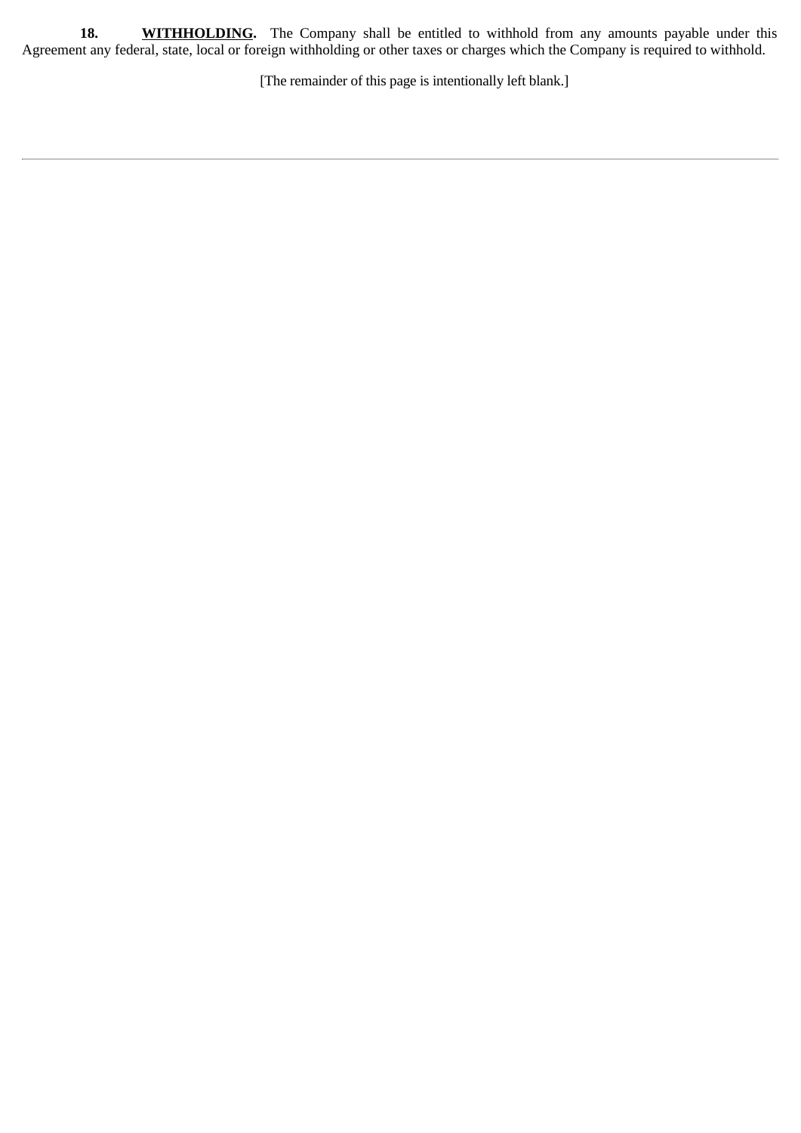**18. WITHHOLDING.** The Company shall be entitled to withhold from any amounts payable under this Agreement any federal, state, local or foreign withholding or other taxes or charges which the Company is required to withhold.

[The remainder of this page is intentionally left blank.]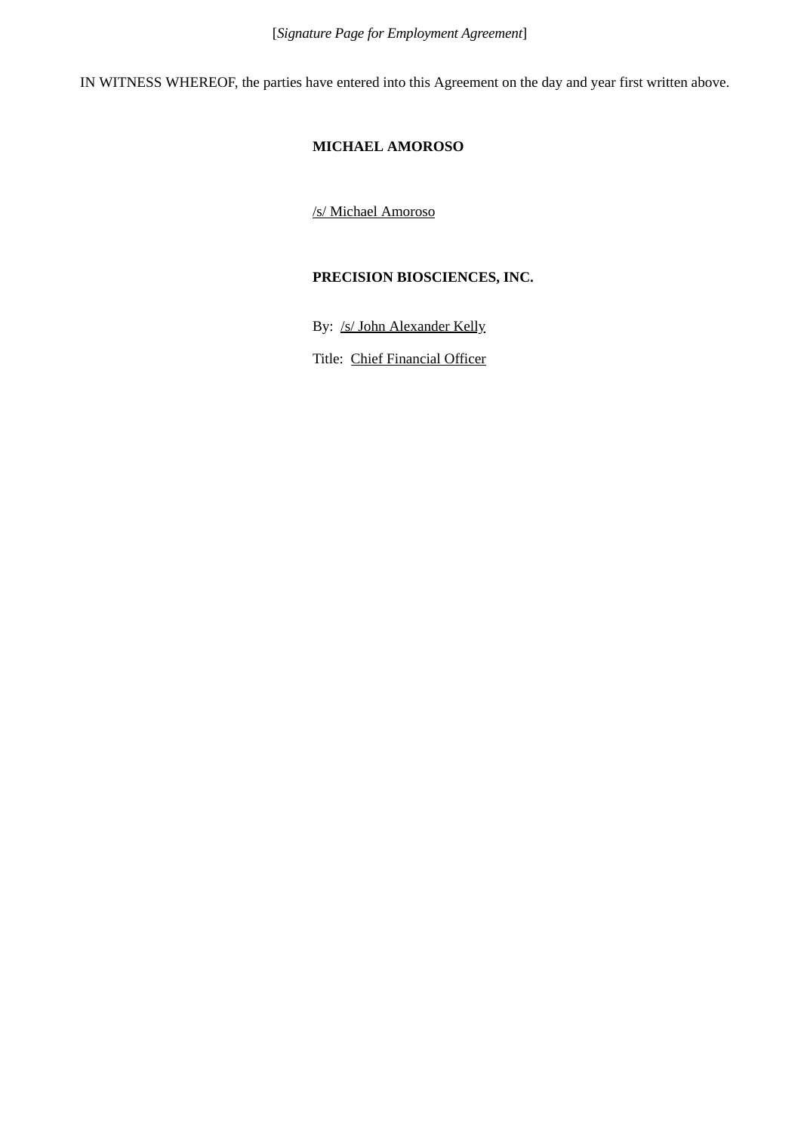IN WITNESS WHEREOF, the parties have entered into this Agreement on the day and year first written above.

# **MICHAEL AMOROSO**

/s/ Michael Amoroso

# **PRECISION BIOSCIENCES, INC.**

By: /s/ John Alexander Kelly

Title: Chief Financial Officer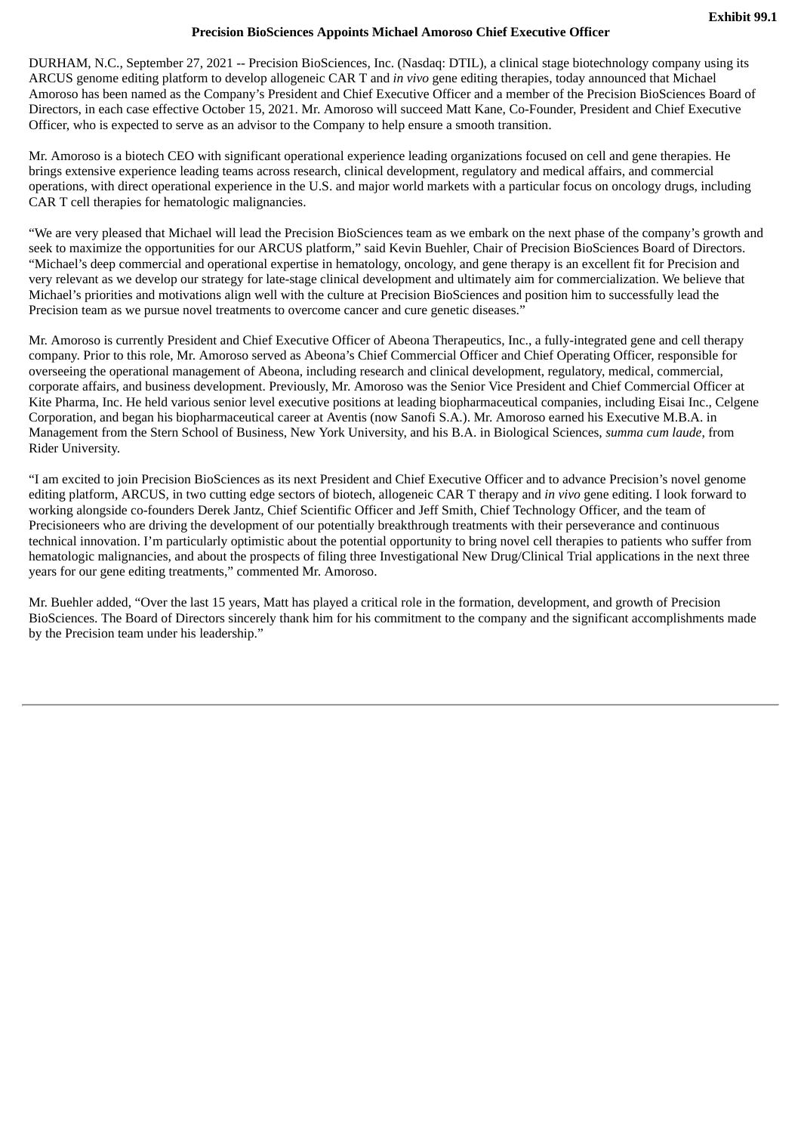#### **Exhibit 99.1**

## **Precision BioSciences Appoints Michael Amoroso Chief Executive Officer**

<span id="page-20-0"></span>DURHAM, N.C., September 27, 2021 -- Precision BioSciences, Inc. (Nasdaq: DTIL), a clinical stage biotechnology company using its ARCUS genome editing platform to develop allogeneic CAR T and *in vivo* gene editing therapies, today announced that Michael Amoroso has been named as the Company's President and Chief Executive Officer and a member of the Precision BioSciences Board of Directors, in each case effective October 15, 2021. Mr. Amoroso will succeed Matt Kane, Co-Founder, President and Chief Executive Officer, who is expected to serve as an advisor to the Company to help ensure a smooth transition.

Mr. Amoroso is a biotech CEO with significant operational experience leading organizations focused on cell and gene therapies. He brings extensive experience leading teams across research, clinical development, regulatory and medical affairs, and commercial operations, with direct operational experience in the U.S. and major world markets with a particular focus on oncology drugs, including CAR T cell therapies for hematologic malignancies.

"We are very pleased that Michael will lead the Precision BioSciences team as we embark on the next phase of the company's growth and seek to maximize the opportunities for our ARCUS platform," said Kevin Buehler, Chair of Precision BioSciences Board of Directors. "Michael's deep commercial and operational expertise in hematology, oncology, and gene therapy is an excellent fit for Precision and very relevant as we develop our strategy for late-stage clinical development and ultimately aim for commercialization. We believe that Michael's priorities and motivations align well with the culture at Precision BioSciences and position him to successfully lead the Precision team as we pursue novel treatments to overcome cancer and cure genetic diseases."

Mr. Amoroso is currently President and Chief Executive Officer of Abeona Therapeutics, Inc., a fully-integrated gene and cell therapy company. Prior to this role, Mr. Amoroso served as Abeona's Chief Commercial Officer and Chief Operating Officer, responsible for overseeing the operational management of Abeona, including research and clinical development, regulatory, medical, commercial, corporate affairs, and business development. Previously, Mr. Amoroso was the Senior Vice President and Chief Commercial Officer at Kite Pharma, Inc. He held various senior level executive positions at leading biopharmaceutical companies, including Eisai Inc., Celgene Corporation, and began his biopharmaceutical career at Aventis (now Sanofi S.A.). Mr. Amoroso earned his Executive M.B.A. in Management from the Stern School of Business, New York University, and his B.A. in Biological Sciences, *summa cum laude*, from Rider University.

"I am excited to join Precision BioSciences as its next President and Chief Executive Officer and to advance Precision's novel genome editing platform, ARCUS, in two cutting edge sectors of biotech, allogeneic CAR T therapy and *in vivo* gene editing. I look forward to working alongside co-founders Derek Jantz, Chief Scientific Officer and Jeff Smith, Chief Technology Officer, and the team of Precisioneers who are driving the development of our potentially breakthrough treatments with their perseverance and continuous technical innovation. I'm particularly optimistic about the potential opportunity to bring novel cell therapies to patients who suffer from hematologic malignancies, and about the prospects of filing three Investigational New Drug/Clinical Trial applications in the next three years for our gene editing treatments," commented Mr. Amoroso.

Mr. Buehler added, "Over the last 15 years, Matt has played a critical role in the formation, development, and growth of Precision BioSciences. The Board of Directors sincerely thank him for his commitment to the company and the significant accomplishments made by the Precision team under his leadership."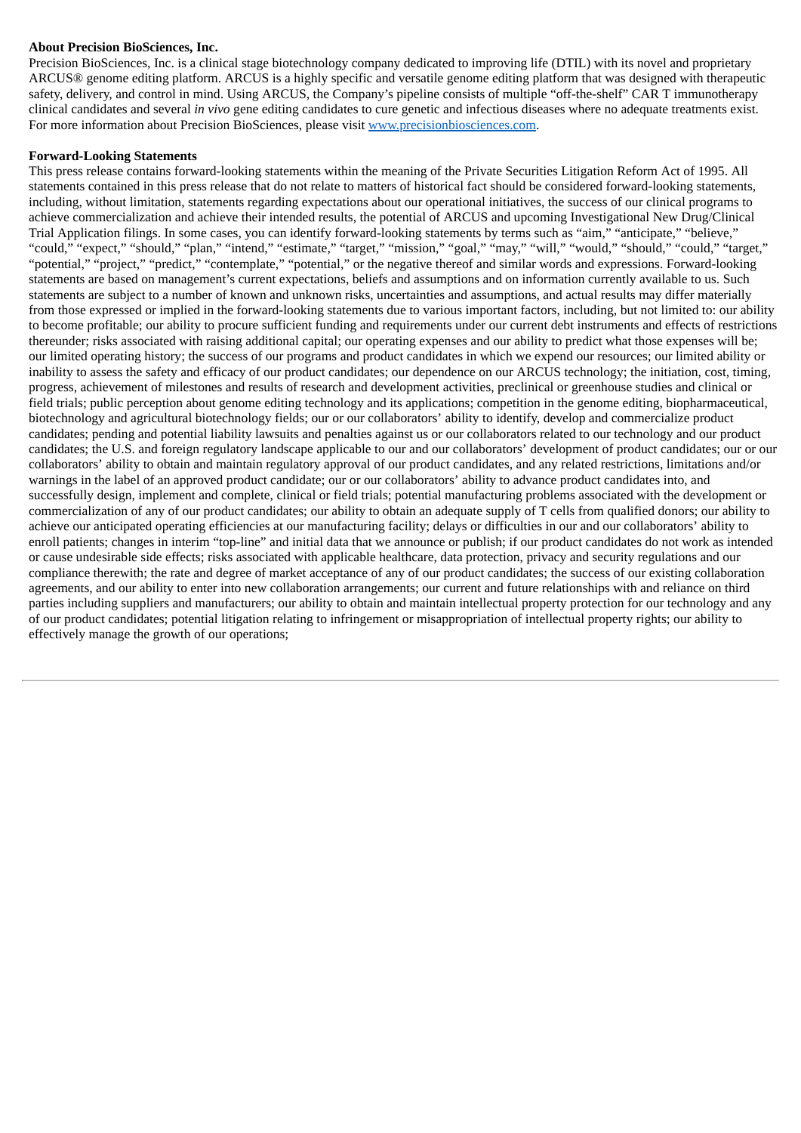# **About Precision BioSciences, Inc.**

Precision BioSciences, Inc. is a clinical stage biotechnology company dedicated to improving life (DTIL) with its novel and proprietary ARCUS® genome editing platform. ARCUS is a highly specific and versatile genome editing platform that was designed with therapeutic safety, delivery, and control in mind. Using ARCUS, the Company's pipeline consists of multiple "off-the-shelf" CAR T immunotherapy clinical candidates and several *in vivo* gene editing candidates to cure genetic and infectious diseases where no adequate treatments exist. For more information about Precision BioSciences, please visit www.precisionbiosciences.com.

## **Forward-Looking Statements**

This press release contains forward-looking statements within the meaning of the Private Securities Litigation Reform Act of 1995. All statements contained in this press release that do not relate to matters of historical fact should be considered forward-looking statements, including, without limitation, statements regarding expectations about our operational initiatives, the success of our clinical programs to achieve commercialization and achieve their intended results, the potential of ARCUS and upcoming Investigational New Drug/Clinical Trial Application filings. In some cases, you can identify forward-looking statements by terms such as "aim," "anticipate," "believe," "could," "expect," "should," "plan," "intend," "estimate," "target," "mission," "goal," "may," "will," "would," "should," "could," "target," "potential," "project," "predict," "contemplate," "potential," or the negative thereof and similar words and expressions. Forward-looking statements are based on management's current expectations, beliefs and assumptions and on information currently available to us. Such statements are subject to a number of known and unknown risks, uncertainties and assumptions, and actual results may differ materially from those expressed or implied in the forward-looking statements due to various important factors, including, but not limited to: our ability to become profitable; our ability to procure sufficient funding and requirements under our current debt instruments and effects of restrictions thereunder; risks associated with raising additional capital; our operating expenses and our ability to predict what those expenses will be; our limited operating history; the success of our programs and product candidates in which we expend our resources; our limited ability or inability to assess the safety and efficacy of our product candidates; our dependence on our ARCUS technology; the initiation, cost, timing, progress, achievement of milestones and results of research and development activities, preclinical or greenhouse studies and clinical or field trials; public perception about genome editing technology and its applications; competition in the genome editing, biopharmaceutical, biotechnology and agricultural biotechnology fields; our or our collaborators' ability to identify, develop and commercialize product candidates; pending and potential liability lawsuits and penalties against us or our collaborators related to our technology and our product candidates; the U.S. and foreign regulatory landscape applicable to our and our collaborators' development of product candidates; our or our collaborators' ability to obtain and maintain regulatory approval of our product candidates, and any related restrictions, limitations and/or warnings in the label of an approved product candidate; our or our collaborators' ability to advance product candidates into, and successfully design, implement and complete, clinical or field trials; potential manufacturing problems associated with the development or commercialization of any of our product candidates; our ability to obtain an adequate supply of T cells from qualified donors; our ability to achieve our anticipated operating efficiencies at our manufacturing facility; delays or difficulties in our and our collaborators' ability to enroll patients; changes in interim "top-line" and initial data that we announce or publish; if our product candidates do not work as intended or cause undesirable side effects; risks associated with applicable healthcare, data protection, privacy and security regulations and our compliance therewith; the rate and degree of market acceptance of any of our product candidates; the success of our existing collaboration agreements, and our ability to enter into new collaboration arrangements; our current and future relationships with and reliance on third parties including suppliers and manufacturers; our ability to obtain and maintain intellectual property protection for our technology and any of our product candidates; potential litigation relating to infringement or misappropriation of intellectual property rights; our ability to effectively manage the growth of our operations;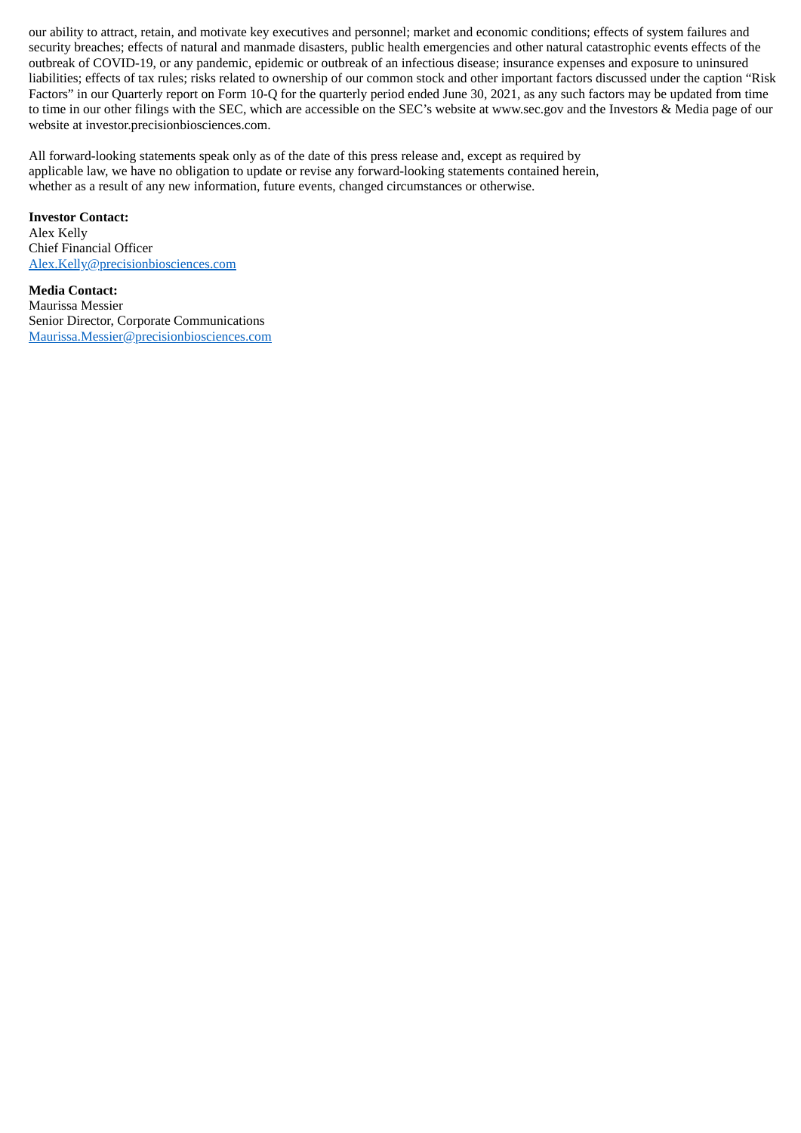our ability to attract, retain, and motivate key executives and personnel; market and economic conditions; effects of system failures and security breaches; effects of natural and manmade disasters, public health emergencies and other natural catastrophic events effects of the outbreak of COVID-19, or any pandemic, epidemic or outbreak of an infectious disease; insurance expenses and exposure to uninsured liabilities; effects of tax rules; risks related to ownership of our common stock and other important factors discussed under the caption "Risk Factors" in our Quarterly report on Form 10-Q for the quarterly period ended June 30, 2021, as any such factors may be updated from time to time in our other filings with the SEC, which are accessible on the SEC's website at www.sec.gov and the Investors & Media page of our website at investor.precisionbiosciences.com.

All forward-looking statements speak only as of the date of this press release and, except as required by applicable law, we have no obligation to update or revise any forward-looking statements contained herein, whether as a result of any new information, future events, changed circumstances or otherwise.

**Investor Contact:** Alex Kelly Chief Financial Officer Alex.Kelly@precisionbiosciences.com

**Media Contact:** Maurissa Messier Senior Director, Corporate Communications Maurissa.Messier@precisionbiosciences.com